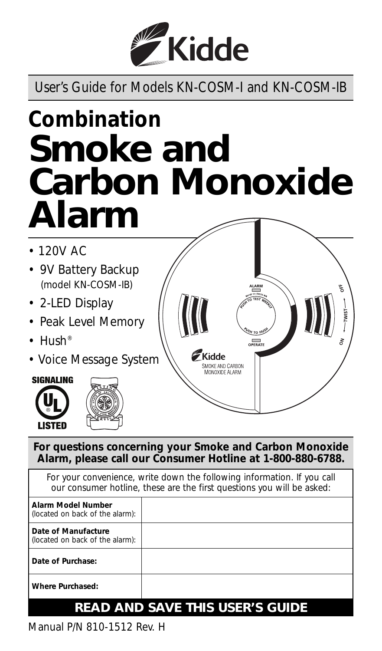

User's Guide for Models KN-COSM-I and KN-COSM-IB

# *Combination* **Smoke and Carbon Monoxide Alarm**

- *120V AC*
- *9V Battery Backup (model KN-COSM-IB)*
- *2-LED Display*
- *Peak Level Memory*
- *Hush®*
- *Voice Message System*





**For questions concerning your Smoke and Carbon Monoxide Alarm, please call our Consumer Hotline at 1-800-880-6788.**

For your convenience, write down the following information. If you call *our consumer hotline, these are the first questions you will be asked:* **Alarm Model Number** *(located on back of the alarm):* **Date of Manufacture** *(located on back of the alarm):* **Date of Purchase: Where Purchased:**

# **READ AND SAVE THIS USER'S GUIDE**

Manual P/N 810-1512 Rev. H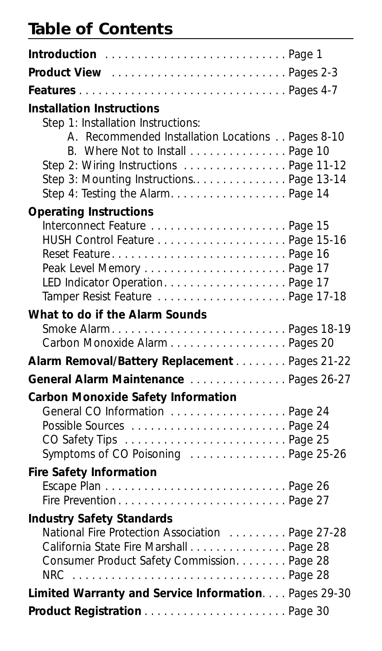## **Table of Contents**

| Introduction  Page 1                                                                                                                                                                                             |  |
|------------------------------------------------------------------------------------------------------------------------------------------------------------------------------------------------------------------|--|
|                                                                                                                                                                                                                  |  |
|                                                                                                                                                                                                                  |  |
| <b>Installation Instructions</b><br>Step 1: Installation Instructions:                                                                                                                                           |  |
| A. Recommended Installation Locations Pages 8-10<br>B. Where Not to Install Page 10<br>Step 2: Wiring Instructions  Page 11-12<br>Step 3: Mounting Instructions Page 13-14<br>Step 4: Testing the Alarm. Page 14 |  |
| <b>Operating Instructions</b>                                                                                                                                                                                    |  |
| LED Indicator OperationPage 17<br>Tamper Resist Feature Page 17-18                                                                                                                                               |  |
| What to do if the Alarm Sounds                                                                                                                                                                                   |  |
| Smoke AlarmPages 18-19<br>Carbon Monoxide Alarm Pages 20                                                                                                                                                         |  |
| Alarm Removal/Battery Replacement Pages 21-22                                                                                                                                                                    |  |
| General Alarm Maintenance Pages 26-27                                                                                                                                                                            |  |
| <b>Carbon Monoxide Safety Information</b><br>General CO Information Page 24<br>Symptoms of CO Poisoning Page 25-26                                                                                               |  |
| <b>Fire Safety Information</b>                                                                                                                                                                                   |  |
| Fire PreventionPage 27                                                                                                                                                                                           |  |
| <b>Industry Safety Standards</b>                                                                                                                                                                                 |  |
| National Fire Protection Association Page 27-28                                                                                                                                                                  |  |
| California State Fire Marshall Page 28<br>Consumer Product Safety Commission. Page 28                                                                                                                            |  |
| $NRC$<br>Page 28                                                                                                                                                                                                 |  |
| Limited Warranty and Service Information. Pages 29-30                                                                                                                                                            |  |
| Product Registration  Page 30                                                                                                                                                                                    |  |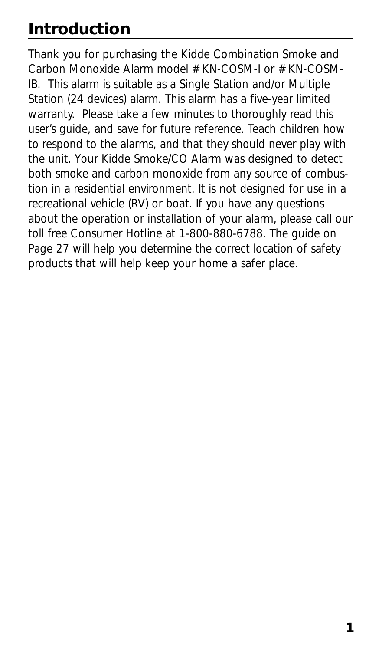# **Introduction**

Thank you for purchasing the Kidde Combination Smoke and Carbon Monoxide Alarm model # KN-COSM-I or # KN-COSM-IB. This alarm is suitable as a Single Station and/or Multiple Station (24 devices) alarm. This alarm has a five-year limited warranty. Please take a few minutes to thoroughly read this user's guide, and save for future reference. Teach children how to respond to the alarms, and that they should never play with the unit. Your Kidde Smoke/CO Alarm was designed to detect both smoke and carbon monoxide from any source of combustion in a residential environment. It is not designed for use in a recreational vehicle (RV) or boat. If you have any questions about the operation or installation of your alarm, please call our toll free Consumer Hotline at 1-800-880-6788. The guide on Page 27 will help you determine the correct location of safety products that will help keep your home a safer place.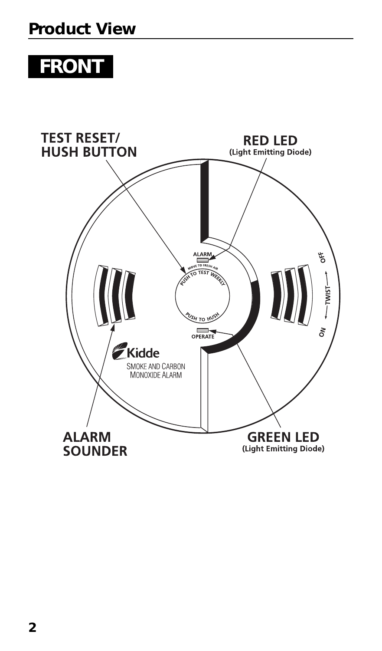# **FRONT**

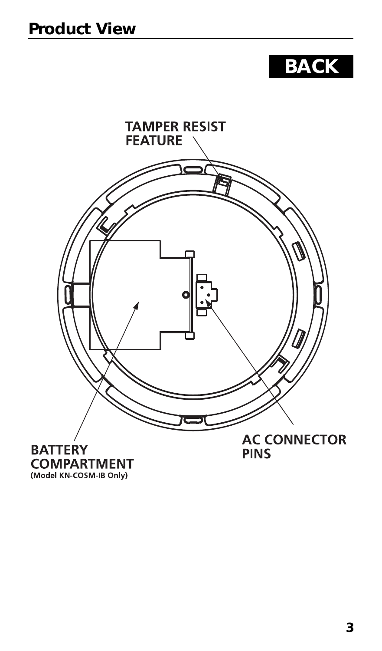# **BACK**



(Model KN-COSM-IB Only)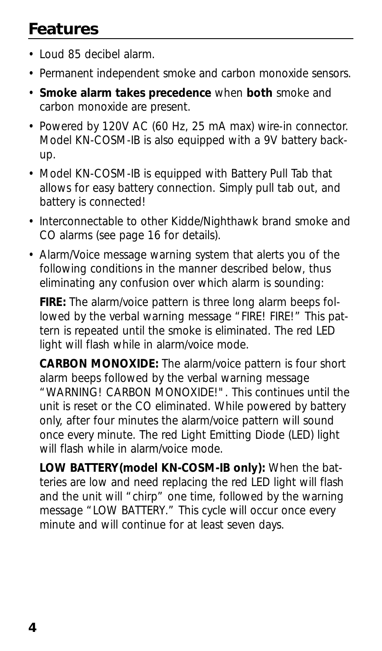# **Features**

- Loud 85 decibel alarm.
- Permanent independent smoke and carbon monoxide sensors.
- **Smoke alarm takes precedence** when **both** smoke and carbon monoxide are present.
- Powered by 120V AC (60 Hz, 25 mA max) wire-in connector. Model KN-COSM-IB is also equipped with a 9V battery backup.
- Model KN-COSM-IB is equipped with Battery Pull Tab that allows for easy battery connection. Simply pull tab out, and battery is connected!
- Interconnectable to other Kidde/Nighthawk brand smoke and CO alarms (see page 16 for details).
- Alarm/Voice message warning system that alerts you of the following conditions in the manner described below, thus eliminating any confusion over which alarm is sounding:

**FIRE:** The alarm/voice pattern is three long alarm beeps followed by the verbal warning message "FIRE! FIRE!" This pattern is repeated until the smoke is eliminated. The red LED light will flash while in alarm/voice mode.

**CARBON MONOXIDE:** The alarm/voice pattern is four short alarm beeps followed by the verbal warning message "WARNING! CARBON MONOXIDE!". This continues until the unit is reset or the CO eliminated. While powered by battery only, after four minutes the alarm/voice pattern will sound once every minute. The red Light Emitting Diode (LED) light will flash while in alarm/voice mode.

**LOW BATTERY(model KN-COSM-IB only):** When the batteries are low and need replacing the red LED light will flash and the unit will "chirp" one time, followed by the warning message "LOW BATTERY." This cycle will occur once every minute and will continue for at least seven days.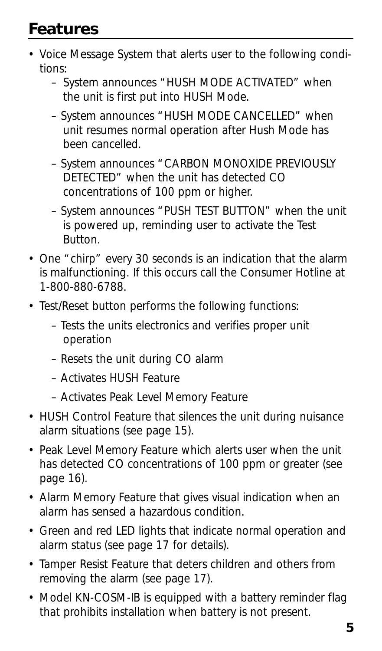# **Features**

- Voice Message System that alerts user to the following conditions:
	- System announces "HUSH MODE ACTIVATED" when the unit is first put into HUSH Mode.
	- System announces "HUSH MODE CANCELLED" when unit resumes normal operation after Hush Mode has been cancelled.
	- System announces "CARBON MONOXIDE PREVIOUSLY DETECTED" when the unit has detected CO concentrations of 100 ppm or higher.
	- System announces "PUSH TEST BUTTON" when the unit is powered up, reminding user to activate the Test Button.
- One "chirp" every 30 seconds is an indication that the alarm is malfunctioning. If this occurs call the Consumer Hotline at 1-800-880-6788.
- Test/Reset button performs the following functions:
	- Tests the units electronics and verifies proper unit operation
	- Resets the unit during CO alarm
	- Activates HUSH Feature
	- Activates Peak Level Memory Feature
- HUSH Control Feature that silences the unit during nuisance alarm situations (see page 15).
- Peak Level Memory Feature which alerts user when the unit has detected CO concentrations of 100 ppm or greater (see page 16).
- Alarm Memory Feature that gives visual indication when an alarm has sensed a hazardous condition.
- Green and red LED lights that indicate normal operation and alarm status (see page 17 for details).
- Tamper Resist Feature that deters children and others from removing the alarm (see page 17).
- Model KN-COSM-IB is equipped with a battery reminder flag that prohibits installation when battery is not present.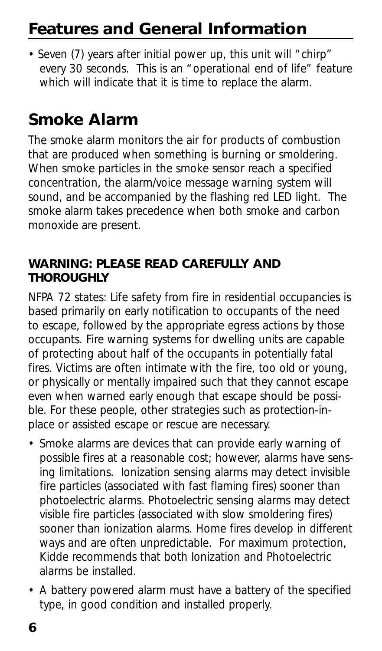# **Features and General Information**

• Seven (7) years after initial power up, this unit will "chirp" every 30 seconds. This is an "operational end of life" feature which will indicate that it is time to replace the alarm.

# **Smoke Alarm**

The smoke alarm monitors the air for products of combustion that are produced when something is burning or smoldering. When smoke particles in the smoke sensor reach a specified concentration, the alarm/voice message warning system will sound, and be accompanied by the flashing red LED light. The smoke alarm takes precedence when both smoke and carbon monoxide are present.

### **WARNING: PLEASE READ CAREFULLY AND THOROUGHLY**

NFPA 72 states: Life safety from fire in residential occupancies is based primarily on early notification to occupants of the need to escape, followed by the appropriate egress actions by those occupants. Fire warning systems for dwelling units are capable of protecting about half of the occupants in potentially fatal fires. Victims are often intimate with the fire, too old or young, or physically or mentally impaired such that they cannot escape even when warned early enough that escape should be possible. For these people, other strategies such as protection-inplace or assisted escape or rescue are necessary.

- Smoke alarms are devices that can provide early warning of possible fires at a reasonable cost; however, alarms have sensing limitations. Ionization sensing alarms may detect invisible fire particles (associated with fast flaming fires) sooner than photoelectric alarms. Photoelectric sensing alarms may detect visible fire particles (associated with slow smoldering fires) sooner than ionization alarms. Home fires develop in different ways and are often unpredictable. For maximum protection, Kidde recommends that both Ionization and Photoelectric alarms be installed.
- A battery powered alarm must have a battery of the specified type, in good condition and installed properly.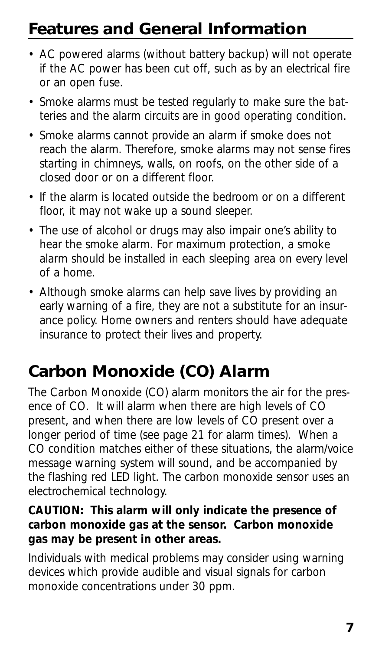# **Features and General Information**

- AC powered alarms (without battery backup) will not operate if the AC power has been cut off, such as by an electrical fire or an open fuse.
- Smoke alarms must be tested regularly to make sure the batteries and the alarm circuits are in good operating condition.
- Smoke alarms cannot provide an alarm if smoke does not reach the alarm. Therefore, smoke alarms may not sense fires starting in chimneys, walls, on roofs, on the other side of a closed door or on a different floor.
- If the alarm is located outside the bedroom or on a different floor, it may not wake up a sound sleeper.
- The use of alcohol or drugs may also impair one's ability to hear the smoke alarm. For maximum protection, a smoke alarm should be installed in each sleeping area on every level of a home.
- Although smoke alarms can help save lives by providing an early warning of a fire, they are not a substitute for an insurance policy. Home owners and renters should have adequate insurance to protect their lives and property.

# **Carbon Monoxide (CO) Alarm**

The Carbon Monoxide (CO) alarm monitors the air for the presence of CO. It will alarm when there are high levels of CO present, and when there are low levels of CO present over a longer period of time (see page 21 for alarm times). When a CO condition matches either of these situations, the alarm/voice message warning system will sound, and be accompanied by the flashing red LED light. The carbon monoxide sensor uses an electrochemical technology.

### **CAUTION: This alarm will only indicate the presence of carbon monoxide gas at the sensor. Carbon monoxide gas may be present in other areas.**

Individuals with medical problems may consider using warning devices which provide audible and visual signals for carbon monoxide concentrations under 30 ppm.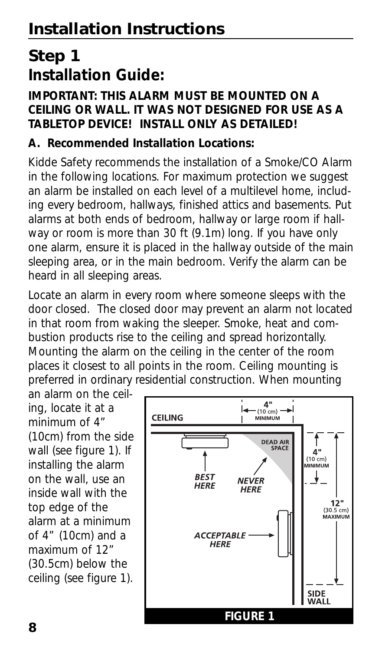# **Step 1 Installation Guide:**

### **IMPORTANT: THIS ALARM MUST BE MOUNTED ON A CEILING OR WALL. IT WAS NOT DESIGNED FOR USE AS A TABLETOP DEVICE! INSTALL ONLY AS DETAILED!**

### **A. Recommended Installation Locations:**

Kidde Safety recommends the installation of a Smoke/CO Alarm in the following locations. For maximum protection we suggest an alarm be installed on each level of a multilevel home, including every bedroom, hallways, finished attics and basements. Put alarms at both ends of bedroom, hallway or large room if hallway or room is more than 30 ft (9.1m) long. If you have only one alarm, ensure it is placed in the hallway outside of the main sleeping area, or in the main bedroom. Verify the alarm can be heard in all sleeping areas.

Locate an alarm in every room where someone sleeps with the door closed. The closed door may prevent an alarm not located in that room from waking the sleeper. Smoke, heat and combustion products rise to the ceiling and spread horizontally. Mounting the alarm on the ceiling in the center of the room places it closest to all points in the room. Ceiling mounting is preferred in ordinary residential construction. When mounting

an alarm on the ceiling, locate it at a minimum of 4" (10cm) from the side wall (see figure 1). If installing the alarm on the wall, use an inside wall with the top edge of the alarm at a minimum of 4" (10cm) and a maximum of 12" (30.5cm) below the ceiling (see figure 1).

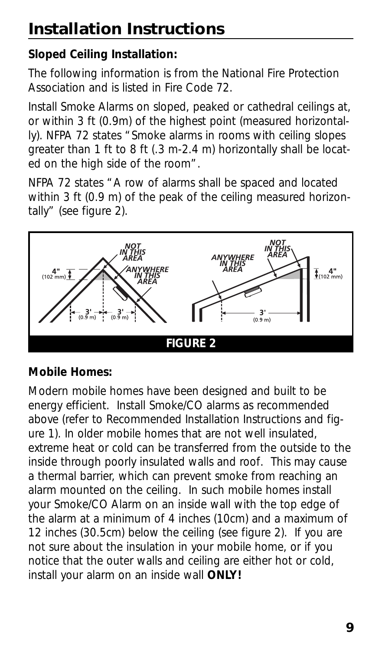# **Installation Instructions**

## **Sloped Ceiling Installation:**

The following information is from the National Fire Protection Association and is listed in Fire Code 72.

Install Smoke Alarms on sloped, peaked or cathedral ceilings at, or within 3 ft (0.9m) of the highest point (measured horizontally). NFPA 72 states "Smoke alarms in rooms with ceiling slopes greater than 1 ft to 8 ft (.3 m-2.4 m) horizontally shall be located on the high side of the room".

NFPA 72 states "A row of alarms shall be spaced and located within 3 ft (0.9 m) of the peak of the ceiling measured horizontally" (see figure 2).



## **Mobile Homes:**

Modern mobile homes have been designed and built to be energy efficient. Install Smoke/CO alarms as recommended above (refer to Recommended Installation Instructions and figure 1). In older mobile homes that are not well insulated, extreme heat or cold can be transferred from the outside to the inside through poorly insulated walls and roof. This may cause a thermal barrier, which can prevent smoke from reaching an alarm mounted on the ceiling. In such mobile homes install your Smoke/CO Alarm on an inside wall with the top edge of the alarm at a minimum of 4 inches (10cm) and a maximum of 12 inches (30.5cm) below the ceiling (see figure 2). If you are not sure about the insulation in your mobile home, or if you notice that the outer walls and ceiling are either hot or cold, install your alarm on an inside wall **ONLY!**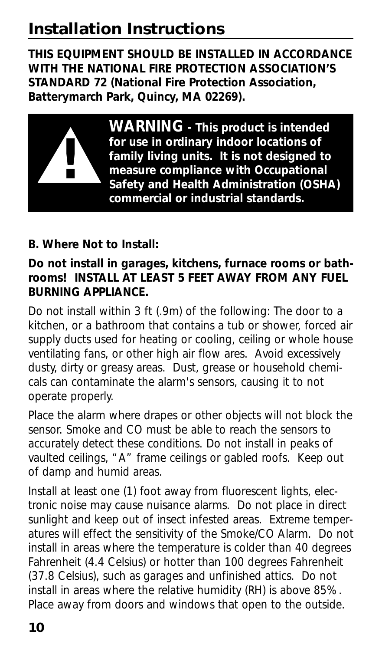# **Installation Instructions**

**THIS EQUIPMENT SHOULD BE INSTALLED IN ACCORDANCE WITH THE NATIONAL FIRE PROTECTION ASSOCIATION'S STANDARD 72 (National Fire Protection Association, Batterymarch Park, Quincy, MA 02269).**



**WARNING - This product is intended for use in ordinary indoor locations of family living units. It is not designed to measure compliance with Occupational Safety and Health Administration (OSHA) commercial or industrial standards.**

### **B. Where Not to Install:**

### **Do not install in garages, kitchens, furnace rooms or bathrooms! INSTALL AT LEAST 5 FEET AWAY FROM ANY FUEL BURNING APPLIANCE.**

Do not install within 3 ft (.9m) of the following: The door to a kitchen, or a bathroom that contains a tub or shower, forced air supply ducts used for heating or cooling, ceiling or whole house ventilating fans, or other high air flow ares. Avoid excessively dusty, dirty or greasy areas. Dust, grease or household chemicals can contaminate the alarm's sensors, causing it to not operate properly.

Place the alarm where drapes or other objects will not block the sensor. Smoke and CO must be able to reach the sensors to accurately detect these conditions. Do not install in peaks of vaulted ceilings, "A" frame ceilings or gabled roofs. Keep out of damp and humid areas.

Install at least one (1) foot away from fluorescent lights, electronic noise may cause nuisance alarms. Do not place in direct sunlight and keep out of insect infested areas. Extreme temperatures will effect the sensitivity of the Smoke/CO Alarm. Do not install in areas where the temperature is colder than 40 degrees Fahrenheit (4.4 Celsius) or hotter than 100 degrees Fahrenheit (37.8 Celsius), such as garages and unfinished attics. Do not install in areas where the relative humidity (RH) is above 85%. Place away from doors and windows that open to the outside.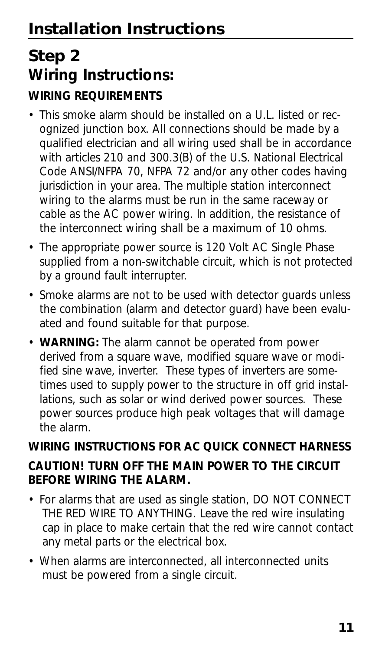# **Step 2 Wiring Instructions:**

## **WIRING REQUIREMENTS**

- This smoke alarm should be installed on a U.L. listed or recognized junction box. All connections should be made by a qualified electrician and all wiring used shall be in accordance with articles 210 and 300.3(B) of the U.S. National Electrical Code ANSI/NFPA 70, NFPA 72 and/or any other codes having jurisdiction in your area. The multiple station interconnect wiring to the alarms must be run in the same raceway or cable as the AC power wiring. In addition, the resistance of the interconnect wiring shall be a maximum of 10 ohms.
- The appropriate power source is 120 Volt AC Single Phase supplied from a non-switchable circuit, which is not protected by a ground fault interrupter.
- Smoke alarms are not to be used with detector guards unless the combination (alarm and detector guard) have been evaluated and found suitable for that purpose.
- **WARNING:** The alarm cannot be operated from power derived from a square wave, modified square wave or modified sine wave, inverter. These types of inverters are sometimes used to supply power to the structure in off grid installations, such as solar or wind derived power sources. These power sources produce high peak voltages that will damage the alarm.

## **WIRING INSTRUCTIONS FOR AC QUICK CONNECT HARNESS**

## **CAUTION! TURN OFF THE MAIN POWER TO THE CIRCUIT BEFORE WIRING THE ALARM.**

- For alarms that are used as single station, DO NOT CONNECT THE RED WIRE TO ANYTHING. Leave the red wire insulating cap in place to make certain that the red wire cannot contact any metal parts or the electrical box.
- When alarms are interconnected, all interconnected units must be powered from a single circuit.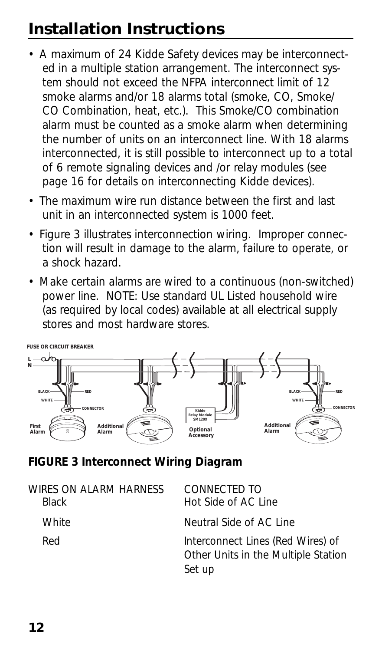# **Installation Instructions**

- A maximum of 24 Kidde Safety devices may be interconnected in a multiple station arrangement. The interconnect system should not exceed the NFPA interconnect limit of 12 smoke alarms and/or 18 alarms total (smoke, CO, Smoke/ CO Combination, heat, etc.). This Smoke/CO combination alarm must be counted as a smoke alarm when determining the number of units on an interconnect line. With 18 alarms interconnected, it is still possible to interconnect up to a total of 6 remote signaling devices and /or relay modules (see page 16 for details on interconnecting Kidde devices).
- The maximum wire run distance between the first and last unit in an interconnected system is 1000 feet.
- Figure 3 illustrates interconnection wiring. Improper connection will result in damage to the alarm, failure to operate, or a shock hazard.
- Make certain alarms are wired to a continuous (non-switched) power line. NOTE: Use standard UL Listed household wire (as required by local codes) available at all electrical supply stores and most hardware stores.



### **FIGURE 3 Interconnect Wiring Diagram**

| WIRES ON AI ARM HARNESS<br><b>Black</b> | CONNECTED TO<br>Hot Side of AC Line                                                |
|-----------------------------------------|------------------------------------------------------------------------------------|
| White                                   | Neutral Side of AC Line                                                            |
| Red                                     | Interconnect Lines (Red Wires) of<br>Other Units in the Multiple Station<br>Set up |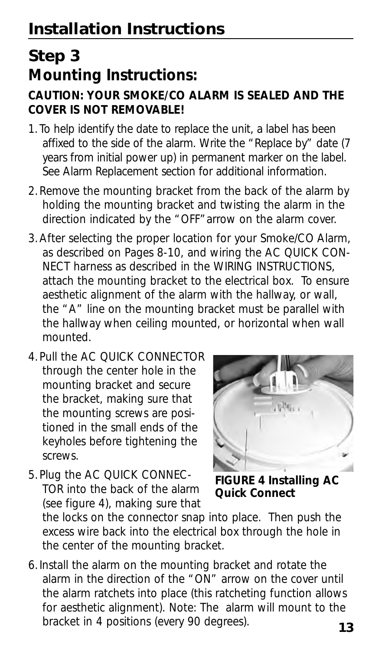# **Step 3 Mounting Instructions:**

### **CAUTION: YOUR SMOKE/CO ALARM IS SEALED AND THE COVER IS NOT REMOVABLE!**

- 1.To help identify the date to replace the unit, a label has been affixed to the side of the alarm. Write the "Replace by" date (7 years from initial power up) in permanent marker on the label. See Alarm Replacement section for additional information.
- 2.Remove the mounting bracket from the back of the alarm by holding the mounting bracket and twisting the alarm in the direction indicated by the "OFF"arrow on the alarm cover.
- 3.After selecting the proper location for your Smoke/CO Alarm, as described on Pages 8-10, and wiring the AC QUICK CON-NECT harness as described in the WIRING INSTRUCTIONS, attach the mounting bracket to the electrical box. To ensure aesthetic alignment of the alarm with the hallway, or wall, the "A" line on the mounting bracket must be parallel with the hallway when ceiling mounted, or horizontal when wall mounted.
- 4.Pull the AC QUICK CONNECTOR through the center hole in the mounting bracket and secure the bracket, making sure that the mounting screws are positioned in the small ends of the keyholes before tightening the screws.
- 
- 5.Plug the AC QUICK CONNEC-TOR into the back of the alarm (see figure 4), making sure that

**FIGURE 4 Installing AC Quick Connect**

the locks on the connector snap into place. Then push the excess wire back into the electrical box through the hole in the center of the mounting bracket.

6.Install the alarm on the mounting bracket and rotate the alarm in the direction of the "ON" arrow on the cover until the alarm ratchets into place (this ratcheting function allows for aesthetic alignment). Note: The alarm will mount to the bracket in 4 positions (every 90 degrees). **<sup>13</sup>**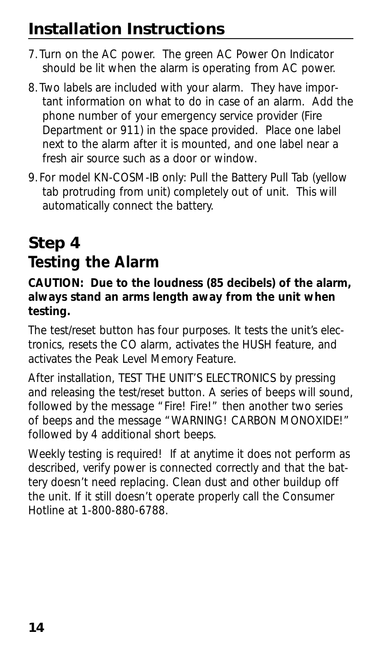# **Installation Instructions**

- 7.Turn on the AC power. The green AC Power On Indicator should be lit when the alarm is operating from AC power.
- 8.Two labels are included with your alarm. They have important information on what to do in case of an alarm. Add the phone number of your emergency service provider (Fire Department or 911) in the space provided. Place one label next to the alarm after it is mounted, and one label near a fresh air source such as a door or window.
- 9.For model KN-COSM-IB only: Pull the Battery Pull Tab (yellow tab protruding from unit) completely out of unit. This will automatically connect the battery.

# **Step 4 Testing the Alarm**

### **CAUTION: Due to the loudness (85 decibels) of the alarm, always stand an arms length away from the unit when testing.**

The test/reset button has four purposes. It tests the unit's electronics, resets the CO alarm, activates the HUSH feature, and activates the Peak Level Memory Feature.

After installation, TEST THE UNIT'S ELECTRONICS by pressing and releasing the test/reset button. A series of beeps will sound, followed by the message "Fire! Fire!" then another two series of beeps and the message "WARNING! CARBON MONOXIDE!" followed by 4 additional short beeps.

Weekly testing is required! If at anytime it does not perform as described, verify power is connected correctly and that the battery doesn't need replacing. Clean dust and other buildup off the unit. If it still doesn't operate properly call the Consumer Hotline at 1-800-880-6788.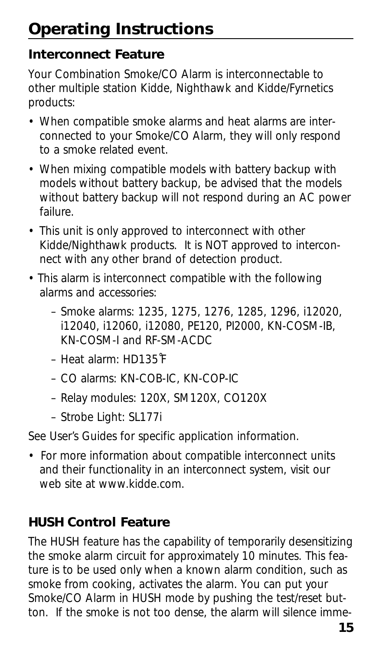## **Interconnect Feature**

Your Combination Smoke/CO Alarm is interconnectable to other multiple station Kidde, Nighthawk and Kidde/Fyrnetics products:

- When compatible smoke alarms and heat alarms are interconnected to your Smoke/CO Alarm, they will only respond to a smoke related event.
- When mixing compatible models with battery backup with models without battery backup, be advised that the models without battery backup will not respond during an AC power failure.
- This unit is only approved to interconnect with other Kidde/Nighthawk products. It is NOT approved to interconnect with any other brand of detection product.
- This alarm is interconnect compatible with the following alarms and accessories:
	- Smoke alarms: 1235, 1275, 1276, 1285, 1296, i12020, i12040, i12060, i12080, PE120, PI2000, KN-COSM-IB, KN-COSM-I and RF-SM-ACDC
	- Heat alarm: HD135˚F
	- CO alarms: KN-COB-IC, KN-COP-IC
	- Relay modules: 120X, SM120X, CO120X
	- Strobe Light: SL177i

See User's Guides for specific application information.

• For more information about compatible interconnect units and their functionality in an interconnect system, visit our web site at www.kidde.com.

## **HUSH Control Feature**

The HUSH feature has the capability of temporarily desensitizing the smoke alarm circuit for approximately 10 minutes. This feature is to be used only when a known alarm condition, such as smoke from cooking, activates the alarm. You can put your Smoke/CO Alarm in HUSH mode by pushing the test/reset button. If the smoke is not too dense, the alarm will silence imme-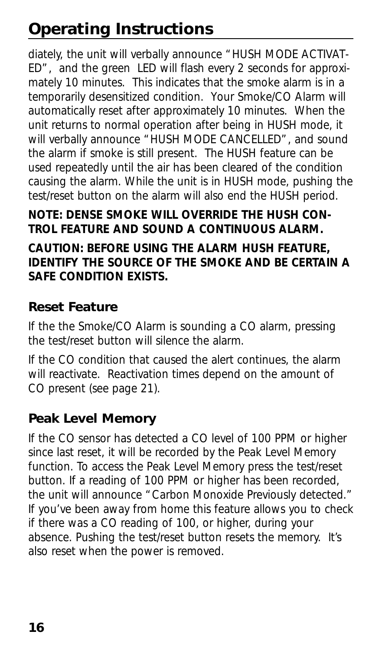diately, the unit will verbally announce "HUSH MODE ACTIVAT-ED", and the green LED will flash every 2 seconds for approximately 10 minutes. This indicates that the smoke alarm is in a temporarily desensitized condition. Your Smoke/CO Alarm will automatically reset after approximately 10 minutes. When the unit returns to normal operation after being in HUSH mode, it will verbally announce "HUSH MODE CANCELLED", and sound the alarm if smoke is still present. The HUSH feature can be used repeatedly until the air has been cleared of the condition causing the alarm. While the unit is in HUSH mode, pushing the test/reset button on the alarm will also end the HUSH period.

### **NOTE: DENSE SMOKE WILL OVERRIDE THE HUSH CON-TROL FEATURE AND SOUND A CONTINUOUS ALARM.**

### **CAUTION: BEFORE USING THE ALARM HUSH FEATURE, IDENTIFY THE SOURCE OF THE SMOKE AND BE CERTAIN A SAFE CONDITION EXISTS.**

## **Reset Feature**

If the the Smoke/CO Alarm is sounding a CO alarm, pressing the test/reset button will silence the alarm.

If the CO condition that caused the alert continues, the alarm will reactivate. Reactivation times depend on the amount of CO present (see page 21).

## **Peak Level Memory**

If the CO sensor has detected a CO level of 100 PPM or higher since last reset, it will be recorded by the Peak Level Memory function. To access the Peak Level Memory press the test/reset button. If a reading of 100 PPM or higher has been recorded, the unit will announce "Carbon Monoxide Previously detected." If you've been away from home this feature allows you to check if there was a CO reading of 100, or higher, during your absence. Pushing the test/reset button resets the memory. It's also reset when the power is removed.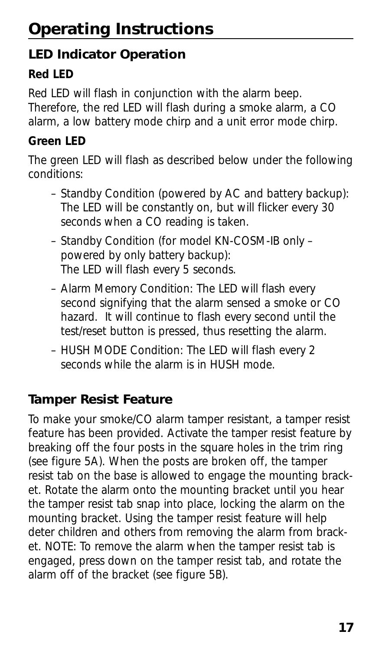## **LED Indicator Operation**

## **Red LED**

Red LED will flash in conjunction with the alarm beep. Therefore, the red LED will flash during a smoke alarm, a CO alarm, a low battery mode chirp and a unit error mode chirp.

## **Green LED**

The green LED will flash as described below under the following conditions:

- Standby Condition (powered by AC and battery backup): The LED will be constantly on, but will flicker every 30 seconds when a CO reading is taken.
- Standby Condition (for model KN-COSM-IB only powered by only battery backup): The LED will flash every 5 seconds.
- Alarm Memory Condition: The LED will flash every second signifying that the alarm sensed a smoke or CO hazard. It will continue to flash every second until the test/reset button is pressed, thus resetting the alarm.
- HUSH MODE Condition: The LED will flash every 2 seconds while the alarm is in HUSH mode.

## **Tamper Resist Feature**

To make your smoke/CO alarm tamper resistant, a tamper resist feature has been provided. Activate the tamper resist feature by breaking off the four posts in the square holes in the trim ring (see figure 5A). When the posts are broken off, the tamper resist tab on the base is allowed to engage the mounting bracket. Rotate the alarm onto the mounting bracket until you hear the tamper resist tab snap into place, locking the alarm on the mounting bracket. Using the tamper resist feature will help deter children and others from removing the alarm from bracket. NOTE: To remove the alarm when the tamper resist tab is engaged, press down on the tamper resist tab, and rotate the alarm off of the bracket (see figure 5B).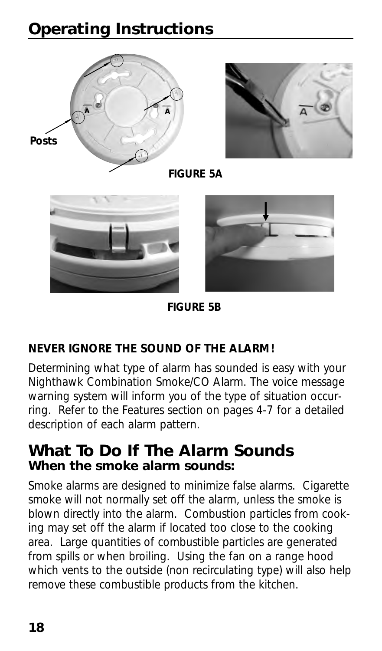



**FIGURE 5A**





**FIGURE 5B**

## **NEVER IGNORE THE SOUND OF THE ALARM!**

Determining what type of alarm has sounded is easy with your Nighthawk Combination Smoke/CO Alarm. The voice message warning system will inform you of the type of situation occurring. Refer to the Features section on pages 4-7 for a detailed description of each alarm pattern.

## **What To Do If The Alarm Sounds When the smoke alarm sounds:**

Smoke alarms are designed to minimize false alarms. Cigarette smoke will not normally set off the alarm, unless the smoke is blown directly into the alarm. Combustion particles from cooking may set off the alarm if located too close to the cooking area. Large quantities of combustible particles are generated from spills or when broiling. Using the fan on a range hood which vents to the outside (non recirculating type) will also help remove these combustible products from the kitchen.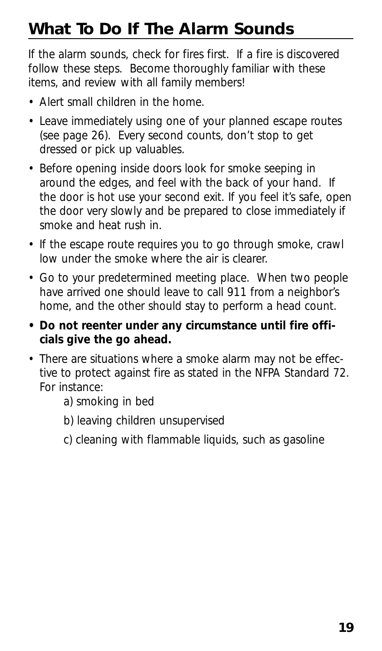# **What To Do If The Alarm Sounds**

If the alarm sounds, check for fires first. If a fire is discovered follow these steps. Become thoroughly familiar with these items, and review with all family members!

- Alert small children in the home.
- Leave immediately using one of your planned escape routes (see page 26). Every second counts, don't stop to get dressed or pick up valuables.
- Before opening inside doors look for smoke seeping in around the edges, and feel with the back of your hand. If the door is hot use your second exit. If you feel it's safe, open the door very slowly and be prepared to close immediately if smoke and heat rush in.
- If the escape route requires you to go through smoke, crawl low under the smoke where the air is clearer.
- Go to your predetermined meeting place. When two people have arrived one should leave to call 911 from a neighbor's home, and the other should stay to perform a head count.
- **Do not reenter under any circumstance until fire officials give the go ahead.**
- There are situations where a smoke alarm may not be effective to protect against fire as stated in the NFPA Standard 72. For instance:
	- a) smoking in bed
	- b) leaving children unsupervised
	- c) cleaning with flammable liquids, such as gasoline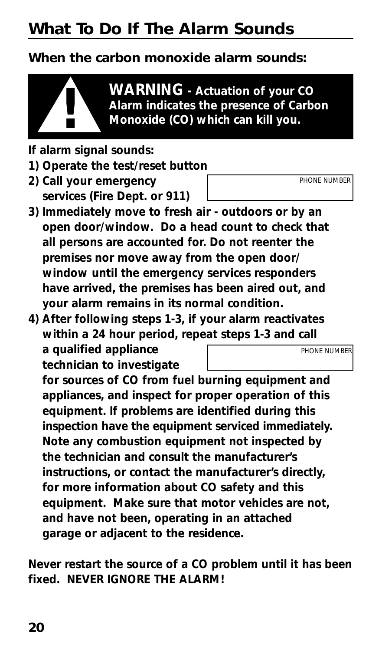# **What To Do If The Alarm Sounds**

## **When the carbon monoxide alarm sounds:**



**WARNING - Actuation of your CO Alarm indicates the presence of Carbon ! Monoxide (CO) which can kill you.**

- **If alarm signal sounds:**
- **1) Operate the test/reset button**
- **2) Call your emergency services (Fire Dept. or 911)**
- **3) Immediately move to fresh air outdoors or by an open door/window. Do a head count to check that all persons are accounted for. Do not reenter the premises nor move away from the open door/ window until the emergency services responders have arrived, the premises has been aired out, and your alarm remains in its normal condition.**
- **4) After following steps 1-3, if your alarm reactivates within a 24 hour period, repeat steps 1-3 and call a qualified appliance** *PHONE NUMBER*

**technician to investigate**

**for sources of CO from fuel burning equipment and appliances, and inspect for proper operation of this equipment. If problems are identified during this inspection have the equipment serviced immediately. Note any combustion equipment not inspected by the technician and consult the manufacturer's instructions, or contact the manufacturer's directly, for more information about CO safety and this equipment. Make sure that motor vehicles are not, and have not been, operating in an attached garage or adjacent to the residence.**

**Never restart the source of a CO problem until it has been fixed. NEVER IGNORE THE ALARM!**

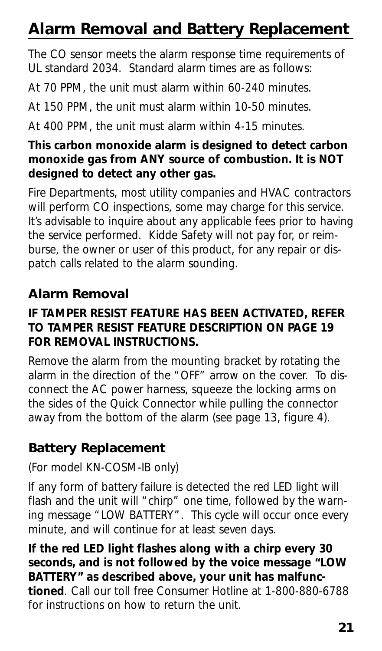# **Alarm Removal and Battery Replacement**

The CO sensor meets the alarm response time requirements of UL standard 2034. Standard alarm times are as follows:

At 70 PPM, the unit must alarm within 60-240 minutes.

At 150 PPM, the unit must alarm within 10-50 minutes.

At 400 PPM, the unit must alarm within 4-15 minutes.

### **This carbon monoxide alarm is designed to detect carbon monoxide gas from ANY source of combustion. It is NOT designed to detect any other gas.**

Fire Departments, most utility companies and HVAC contractors will perform CO inspections, some may charge for this service. It's advisable to inquire about any applicable fees prior to having the service performed. Kidde Safety will not pay for, or reimburse, the owner or user of this product, for any repair or dispatch calls related to the alarm sounding.

## **Alarm Removal**

### **IF TAMPER RESIST FEATURE HAS BEEN ACTIVATED, REFER TO TAMPER RESIST FEATURE DESCRIPTION ON PAGE 19 FOR REMOVAL INSTRUCTIONS.**

Remove the alarm from the mounting bracket by rotating the alarm in the direction of the "OFF" arrow on the cover. To disconnect the AC power harness, squeeze the locking arms on the sides of the Quick Connector while pulling the connector away from the bottom of the alarm (see page 13, figure 4).

## **Battery Replacement**

## (For model KN-COSM-IB only)

If any form of battery failure is detected the red LED light will flash and the unit will "chirp" one time, followed by the warning message "LOW BATTERY". This cycle will occur once every minute, and will continue for at least seven days.

**If the red LED light flashes along with a chirp every 30 seconds, and is not followed by the voice message "LOW BATTERY" as described above, your unit has malfunctioned**. Call our toll free Consumer Hotline at 1-800-880-6788 for instructions on how to return the unit.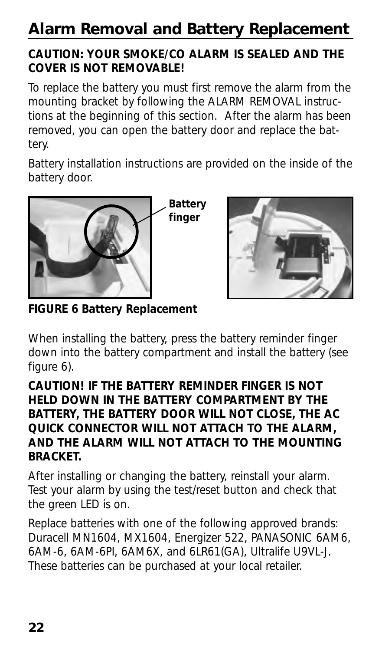# **Alarm Removal and Battery Replacement**

### **CAUTION: YOUR SMOKE/CO ALARM IS SEALED AND THE COVER IS NOT REMOVABLE!**

To replace the battery you must first remove the alarm from the mounting bracket by following the ALARM REMOVAL instructions at the beginning of this section. After the alarm has been removed, you can open the battery door and replace the battery.

Battery installation instructions are provided on the inside of the battery door.



**FIGURE 6 Battery Replacement**

When installing the battery, press the battery reminder finger down into the battery compartment and install the battery (see figure 6).

### **CAUTION! IF THE BATTERY REMINDER FINGER IS NOT HELD DOWN IN THE BATTERY COMPARTMENT BY THE BATTERY, THE BATTERY DOOR WILL NOT CLOSE, THE AC QUICK CONNECTOR WILL NOT ATTACH TO THE ALARM, AND THE ALARM WILL NOT ATTACH TO THE MOUNTING BRACKET.**

After installing or changing the battery, reinstall your alarm. Test your alarm by using the test/reset button and check that the green LED is on.

Replace batteries with one of the following approved brands: Duracell MN1604, MX1604, Energizer 522, PANASONIC 6AM6, 6AM-6, 6AM-6PI, 6AM6X, and 6LR61(GA), Ultralife U9VL-J. These batteries can be purchased at your local retailer.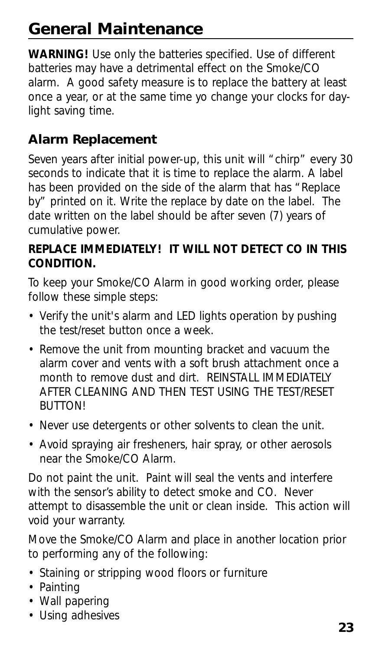# **General Maintenance**

**WARNING!** Use only the batteries specified. Use of different batteries may have a detrimental effect on the Smoke/CO alarm. A good safety measure is to replace the battery at least once a year, or at the same time yo change your clocks for daylight saving time.

## **Alarm Replacement**

Seven years after initial power-up, this unit will "chirp" every 30 seconds to indicate that it is time to replace the alarm. A label has been provided on the side of the alarm that has "Replace by" printed on it. Write the replace by date on the label. The date written on the label should be after seven (7) years of cumulative power.

### **REPLACE IMMEDIATELY! IT WILL NOT DETECT CO IN THIS CONDITION.**

To keep your Smoke/CO Alarm in good working order, please follow these simple steps:

- Verify the unit's alarm and LED lights operation by pushing the test/reset button once a week.
- Remove the unit from mounting bracket and vacuum the alarm cover and vents with a soft brush attachment once a month to remove dust and dirt. REINSTALL IMMEDIATELY AFTER CLEANING AND THEN TEST USING THE TEST/RESET BUTTON!
- Never use detergents or other solvents to clean the unit.
- Avoid spraying air fresheners, hair spray, or other aerosols near the Smoke/CO Alarm.

Do not paint the unit. Paint will seal the vents and interfere with the sensor's ability to detect smoke and CO. Never attempt to disassemble the unit or clean inside. This action will void your warranty.

Move the Smoke/CO Alarm and place in another location prior to performing any of the following:

- Staining or stripping wood floors or furniture
- Painting
- Wall papering
- Using adhesives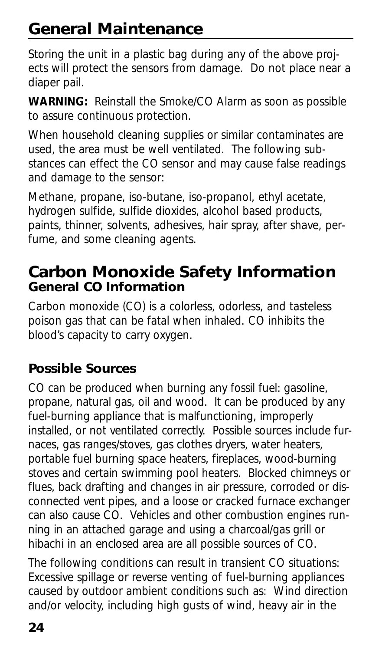# **General Maintenance**

Storing the unit in a plastic bag during any of the above projects will protect the sensors from damage. Do not place near a diaper pail.

**WARNING:** Reinstall the Smoke/CO Alarm as soon as possible to assure continuous protection.

When household cleaning supplies or similar contaminates are used, the area must be well ventilated. The following substances can effect the CO sensor and may cause false readings and damage to the sensor:

Methane, propane, iso-butane, iso-propanol, ethyl acetate, hydrogen sulfide, sulfide dioxides, alcohol based products, paints, thinner, solvents, adhesives, hair spray, after shave, perfume, and some cleaning agents.

## **Carbon Monoxide Safety Information General CO Information**

Carbon monoxide (CO) is a colorless, odorless, and tasteless poison gas that can be fatal when inhaled. CO inhibits the blood's capacity to carry oxygen.

## **Possible Sources**

CO can be produced when burning any fossil fuel: gasoline, propane, natural gas, oil and wood. It can be produced by any fuel-burning appliance that is malfunctioning, improperly installed, or not ventilated correctly. Possible sources include furnaces, gas ranges/stoves, gas clothes dryers, water heaters, portable fuel burning space heaters, fireplaces, wood-burning stoves and certain swimming pool heaters. Blocked chimneys or flues, back drafting and changes in air pressure, corroded or disconnected vent pipes, and a loose or cracked furnace exchanger can also cause CO. Vehicles and other combustion engines running in an attached garage and using a charcoal/gas grill or hibachi in an enclosed area are all possible sources of CO.

The following conditions can result in transient CO situations: Excessive spillage or reverse venting of fuel-burning appliances caused by outdoor ambient conditions such as: Wind direction and/or velocity, including high gusts of wind, heavy air in the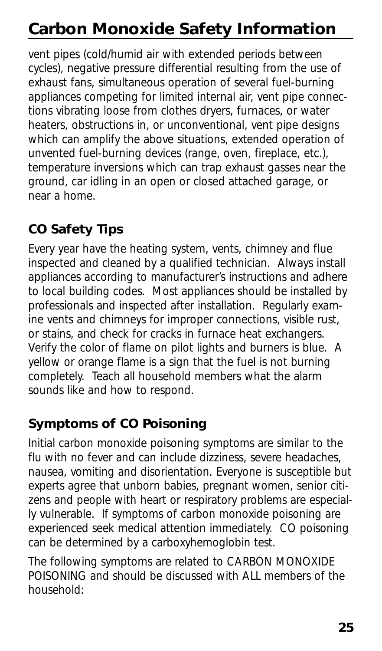# **Carbon Monoxide Safety Information**

vent pipes (cold/humid air with extended periods between cycles), negative pressure differential resulting from the use of exhaust fans, simultaneous operation of several fuel-burning appliances competing for limited internal air, vent pipe connections vibrating loose from clothes dryers, furnaces, or water heaters, obstructions in, or unconventional, vent pipe designs which can amplify the above situations, extended operation of unvented fuel-burning devices (range, oven, fireplace, etc.), temperature inversions which can trap exhaust gasses near the ground, car idling in an open or closed attached garage, or near a home.

## **CO Safety Tips**

Every year have the heating system, vents, chimney and flue inspected and cleaned by a qualified technician. Always install appliances according to manufacturer's instructions and adhere to local building codes. Most appliances should be installed by professionals and inspected after installation. Regularly examine vents and chimneys for improper connections, visible rust, or stains, and check for cracks in furnace heat exchangers. Verify the color of flame on pilot lights and burners is blue. A yellow or orange flame is a sign that the fuel is not burning completely. Teach all household members what the alarm sounds like and how to respond.

## **Symptoms of CO Poisoning**

Initial carbon monoxide poisoning symptoms are similar to the flu with no fever and can include dizziness, severe headaches, nausea, vomiting and disorientation. Everyone is susceptible but experts agree that unborn babies, pregnant women, senior citizens and people with heart or respiratory problems are especially vulnerable. If symptoms of carbon monoxide poisoning are experienced seek medical attention immediately. CO poisoning can be determined by a carboxyhemoglobin test.

The following symptoms are related to CARBON MONOXIDE POISONING and should be discussed with ALL members of the household: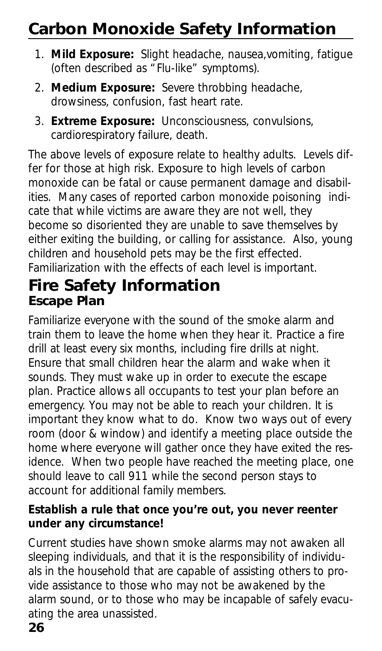# **Carbon Monoxide Safety Information**

- 1. **Mild Exposure:** Slight headache, nausea,vomiting, fatigue (often described as "Flu-like" symptoms).
- 2. **Medium Exposure:** Severe throbbing headache, drowsiness, confusion, fast heart rate.
- 3. **Extreme Exposure:** Unconsciousness, convulsions, cardiorespiratory failure, death.

The above levels of exposure relate to healthy adults. Levels differ for those at high risk. Exposure to high levels of carbon monoxide can be fatal or cause permanent damage and disabilities. Many cases of reported carbon monoxide poisoning indicate that while victims are aware they are not well, they become so disoriented they are unable to save themselves by either exiting the building, or calling for assistance. Also, young children and household pets may be the first effected. Familiarization with the effects of each level is important.

## **Fire Safety Information Escape Plan**

Familiarize everyone with the sound of the smoke alarm and train them to leave the home when they hear it. Practice a fire drill at least every six months, including fire drills at night. Ensure that small children hear the alarm and wake when it sounds. They must wake up in order to execute the escape plan. Practice allows all occupants to test your plan before an emergency. You may not be able to reach your children. It is important they know what to do. Know two ways out of every room (door & window) and identify a meeting place outside the home where everyone will gather once they have exited the residence. When two people have reached the meeting place, one should leave to call 911 while the second person stays to account for additional family members.

### **Establish a rule that once you're out, you never reenter under any circumstance!**

Current studies have shown smoke alarms may not awaken all sleeping individuals, and that it is the responsibility of individuals in the household that are capable of assisting others to provide assistance to those who may not be awakened by the alarm sound, or to those who may be incapable of safely evacuating the area unassisted.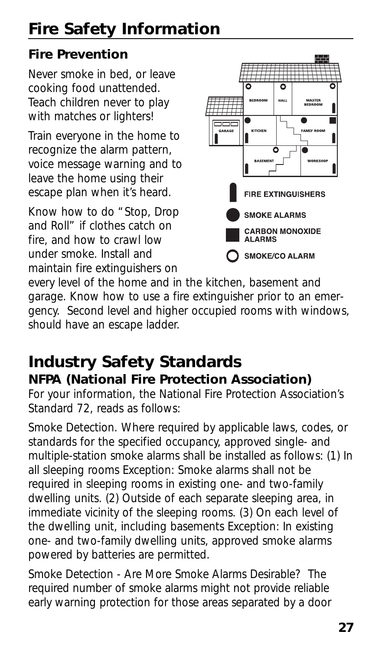# **Fire Safety Information**

## **Fire Prevention**

Never smoke in bed, or leave cooking food unattended. Teach children never to play with matches or lighters!

Train everyone in the home to recognize the alarm pattern, voice message warning and to leave the home using their escape plan when it's heard.

Know how to do "Stop, Drop and Roll" if clothes catch on fire, and how to crawl low under smoke. Install and maintain fire extinguishers on



every level of the home and in the kitchen, basement and garage. Know how to use a fire extinguisher prior to an emergency. Second level and higher occupied rooms with windows, should have an escape ladder.

## **Industry Safety Standards NFPA (National Fire Protection Association)**

For your information, the National Fire Protection Association's Standard 72, reads as follows:

Smoke Detection. Where required by applicable laws, codes, or standards for the specified occupancy, approved single- and multiple-station smoke alarms shall be installed as follows: (1) In all sleeping rooms Exception: Smoke alarms shall not be required in sleeping rooms in existing one- and two-family dwelling units. (2) Outside of each separate sleeping area, in immediate vicinity of the sleeping rooms. (3) On each level of the dwelling unit, including basements Exception: In existing one- and two-family dwelling units, approved smoke alarms powered by batteries are permitted.

Smoke Detection - Are More Smoke Alarms Desirable? The required number of smoke alarms might not provide reliable early warning protection for those areas separated by a door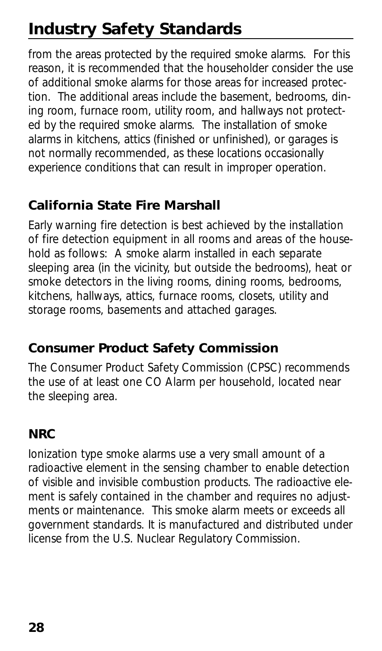# **Industry Safety Standards**

from the areas protected by the required smoke alarms. For this reason, it is recommended that the householder consider the use of additional smoke alarms for those areas for increased protection. The additional areas include the basement, bedrooms, dining room, furnace room, utility room, and hallways not protected by the required smoke alarms. The installation of smoke alarms in kitchens, attics (finished or unfinished), or garages is not normally recommended, as these locations occasionally experience conditions that can result in improper operation.

## **California State Fire Marshall**

Early warning fire detection is best achieved by the installation of fire detection equipment in all rooms and areas of the household as follows: A smoke alarm installed in each separate sleeping area (in the vicinity, but outside the bedrooms), heat or smoke detectors in the living rooms, dining rooms, bedrooms, kitchens, hallways, attics, furnace rooms, closets, utility and storage rooms, basements and attached garages.

## **Consumer Product Safety Commission**

The Consumer Product Safety Commission (CPSC) recommends the use of at least one CO Alarm per household, located near the sleeping area.

## **NRC**

Ionization type smoke alarms use a very small amount of a radioactive element in the sensing chamber to enable detection of visible and invisible combustion products. The radioactive element is safely contained in the chamber and requires no adjustments or maintenance. This smoke alarm meets or exceeds all government standards. It is manufactured and distributed under license from the U.S. Nuclear Regulatory Commission.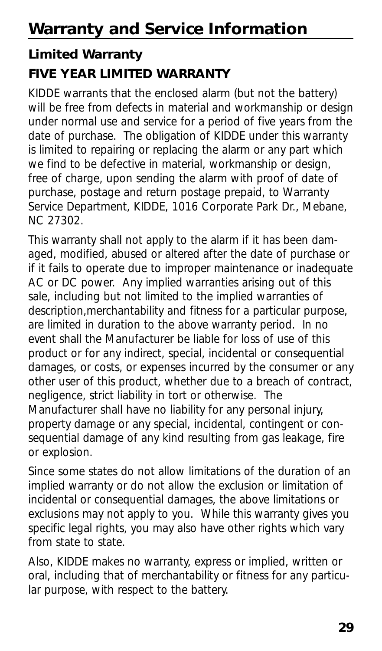## **Limited Warranty FIVE YEAR LIMITED WARRANTY**

KIDDE warrants that the enclosed alarm (but not the battery) will be free from defects in material and workmanship or design under normal use and service for a period of five years from the date of purchase. The obligation of KIDDE under this warranty is limited to repairing or replacing the alarm or any part which we find to be defective in material, workmanship or design, free of charge, upon sending the alarm with proof of date of purchase, postage and return postage prepaid, to Warranty Service Department, KIDDE, 1016 Corporate Park Dr., Mebane, NC 27302.

This warranty shall not apply to the alarm if it has been damaged, modified, abused or altered after the date of purchase or if it fails to operate due to improper maintenance or inadequate AC or DC power. Any implied warranties arising out of this sale, including but not limited to the implied warranties of description,merchantability and fitness for a particular purpose, are limited in duration to the above warranty period. In no event shall the Manufacturer be liable for loss of use of this product or for any indirect, special, incidental or consequential damages, or costs, or expenses incurred by the consumer or any other user of this product, whether due to a breach of contract, negligence, strict liability in tort or otherwise. The Manufacturer shall have no liability for any personal injury, property damage or any special, incidental, contingent or consequential damage of any kind resulting from gas leakage, fire or explosion.

Since some states do not allow limitations of the duration of an implied warranty or do not allow the exclusion or limitation of incidental or consequential damages, the above limitations or exclusions may not apply to you. While this warranty gives you specific legal rights, you may also have other rights which vary from state to state.

Also, KIDDE makes no warranty, express or implied, written or oral, including that of merchantability or fitness for any particular purpose, with respect to the battery.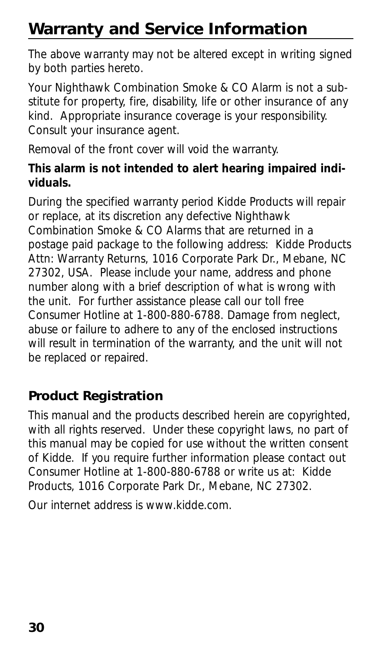# **Warranty and Service Information**

The above warranty may not be altered except in writing signed by both parties hereto.

Your Nighthawk Combination Smoke & CO Alarm is not a substitute for property, fire, disability, life or other insurance of any kind. Appropriate insurance coverage is your responsibility. Consult your insurance agent.

Removal of the front cover will void the warranty.

### **This alarm is not intended to alert hearing impaired individuals.**

During the specified warranty period Kidde Products will repair or replace, at its discretion any defective Nighthawk Combination Smoke & CO Alarms that are returned in a postage paid package to the following address: Kidde Products Attn: Warranty Returns, 1016 Corporate Park Dr., Mebane, NC 27302, USA. Please include your name, address and phone number along with a brief description of what is wrong with the unit. For further assistance please call our toll free Consumer Hotline at 1-800-880-6788. Damage from neglect, abuse or failure to adhere to any of the enclosed instructions will result in termination of the warranty, and the unit will not be replaced or repaired.

## **Product Registration**

This manual and the products described herein are copyrighted, with all rights reserved. Under these copyright laws, no part of this manual may be copied for use without the written consent of Kidde. If you require further information please contact out Consumer Hotline at 1-800-880-6788 or write us at: Kidde Products, 1016 Corporate Park Dr., Mebane, NC 27302.

Our internet address is www.kidde.com.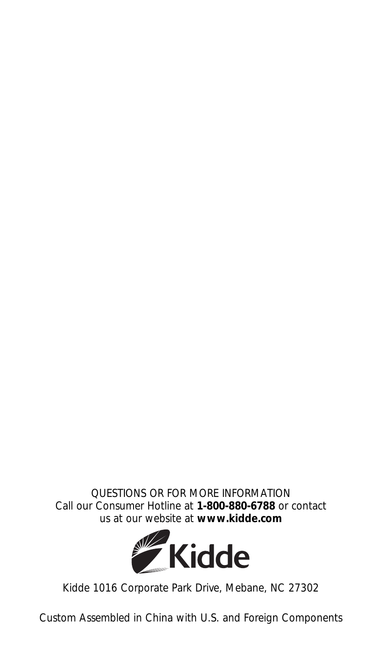*QUESTIONS OR FOR MORE INFORMATION* Call our Consumer Hotline at **1-800-880-6788** or contact us at our website at **www.kidde.com**



Kidde 1016 Corporate Park Drive, Mebane, NC 27302

Custom Assembled in China with U.S. and Foreign Components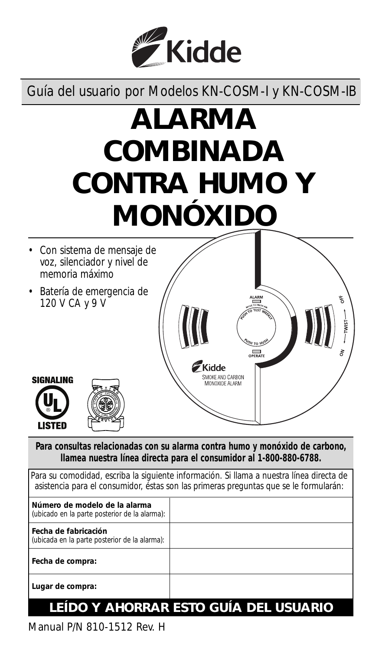

Guía del usuario por Modelos KN-COSM-I y KN-COSM-IB

# **ALARMA COMBINADA CONTRA HUMO Y MONÓXIDO**



**Para consultas relacionadas con su alarma contra humo y monóxido de carbono, llamea nuestra línea directa para el consumidor al 1-800-880-6788.**

| Para su comodidad, escriba la siguiente información. Si llama a nuestra línea directa de<br>asistencia para el consumidor, éstas son las primeras preguntas que se le formularán: |  |  |
|-----------------------------------------------------------------------------------------------------------------------------------------------------------------------------------|--|--|
| Número de modelo de la alarma<br>(ubicado en la parte posterior de la alarma):                                                                                                    |  |  |
| l Fecha de fabricación<br>(ubicada en la parte posterior de la alarma):                                                                                                           |  |  |
| l Fecha de compra:                                                                                                                                                                |  |  |
| Lugar de compra:                                                                                                                                                                  |  |  |
| FIDO V AUODDAD FETO                                                                                                                                                               |  |  |

## **LEÍDO Y AHORRAR ESTO GUÍA DEL USUARIO**

Manual P/N 810-1512 Rev. H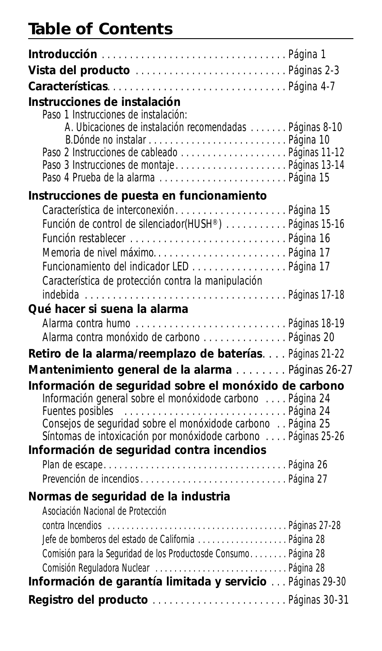## **Table of Contents**

| <b>Introducción</b> Página 1                                                                                                                                                                                                                                                                       |  |
|----------------------------------------------------------------------------------------------------------------------------------------------------------------------------------------------------------------------------------------------------------------------------------------------------|--|
| Vista del producto  Páginas 2-3                                                                                                                                                                                                                                                                    |  |
| CaracterísticasPágina 4-7                                                                                                                                                                                                                                                                          |  |
| Instrucciones de instalación<br>Paso 1 Instrucciones de instalación:<br>A. Ubicaciones de instalación recomendadas Páginas 8-10<br>Paso 3 Instrucciones de montajePáginas 13-14                                                                                                                    |  |
| Instrucciones de puesta en funcionamiento                                                                                                                                                                                                                                                          |  |
| Característica de interconexiónPágina 15<br>Función de control de silenciador(HUSH®) Páginas 15-16<br>Memoria de nivel máximoPágina 17<br>Funcionamiento del indicador LED Página 17<br>Característica de protección contra la manipulación                                                        |  |
| Qué hacer si suena la alarma                                                                                                                                                                                                                                                                       |  |
| Alarma contra monóxido de carbono Páginas 20                                                                                                                                                                                                                                                       |  |
| Retiro de la alarma/reemplazo de baterías Páginas 21-22                                                                                                                                                                                                                                            |  |
| Mantenimiento general de la alarma Páginas 26-27                                                                                                                                                                                                                                                   |  |
| Información de seguridad sobre el monóxido de carbono<br>Información general sobre el monóxidode carbono  Página 24<br>Consejos de seguridad sobre el monóxidode carbono  Página 25<br>Síntomas de intoxicación por monóxidode carbono  Páginas 25-26<br>Información de seguridad contra incendios |  |
| Plan de escapePáqina 26                                                                                                                                                                                                                                                                            |  |
|                                                                                                                                                                                                                                                                                                    |  |
| Normas de seguridad de la industria<br>Asociación Nacional de Protección                                                                                                                                                                                                                           |  |
| Jefe de bomberos del estado de California Página 28<br>Comisión para la Seguridad de los Productosde Consumo Página 28                                                                                                                                                                             |  |
| Información de garantía limitada y servicio  Páginas 29-30                                                                                                                                                                                                                                         |  |
|                                                                                                                                                                                                                                                                                                    |  |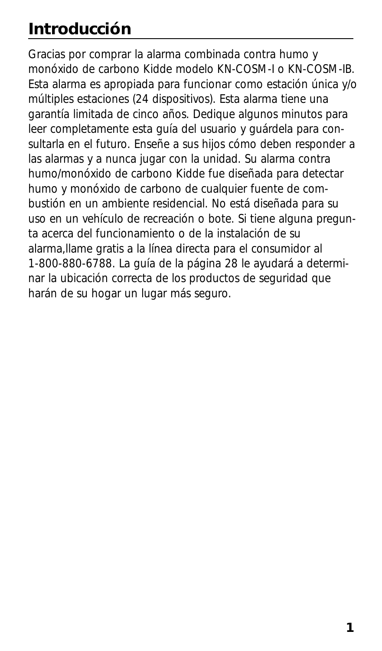# **Introducción**

Gracias por comprar la alarma combinada contra humo y monóxido de carbono Kidde modelo KN-COSM-I o KN-COSM-IB. Esta alarma es apropiada para funcionar como estación única y/o múltiples estaciones (24 dispositivos). Esta alarma tiene una garantía limitada de cinco años. Dedique algunos minutos para leer completamente esta guía del usuario y guárdela para consultarla en el futuro. Enseñe a sus hijos cómo deben responder a las alarmas y a nunca jugar con la unidad. Su alarma contra humo/monóxido de carbono Kidde fue diseñada para detectar humo y monóxido de carbono de cualquier fuente de combustión en un ambiente residencial. No está diseñada para su uso en un vehículo de recreación o bote. Si tiene alguna pregunta acerca del funcionamiento o de la instalación de su alarma,llame gratis a la línea directa para el consumidor al 1-800-880-6788. La guía de la página 28 le ayudará a determinar la ubicación correcta de los productos de seguridad que harán de su hogar un lugar más seguro.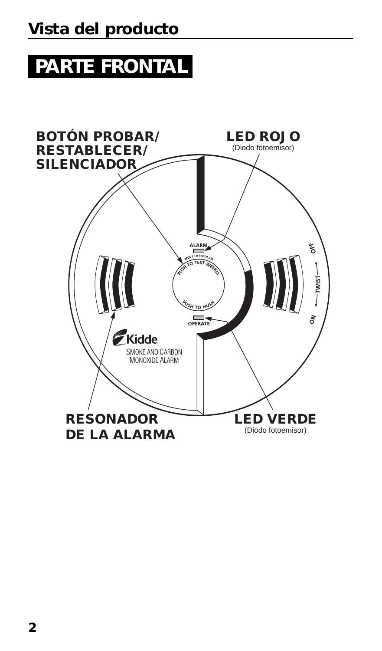# **PARTE FRONTAL**

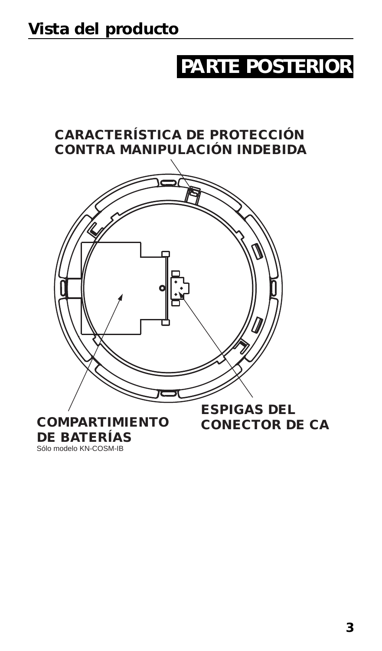# **PARTE POSTERIOR**



Sólo modelo KN-COSM-IB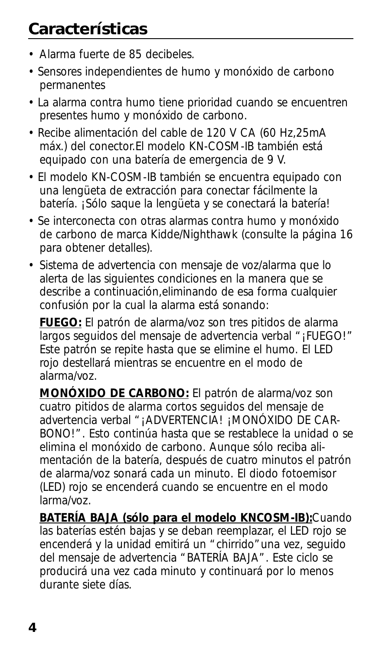- Alarma fuerte de 85 decibeles.
- Sensores independientes de humo y monóxido de carbono permanentes
- La alarma contra humo tiene prioridad cuando se encuentren presentes humo y monóxido de carbono.
- Recibe alimentación del cable de 120 V CA (60 Hz,25mA máx.) del conector.El modelo KN-COSM-IB también está equipado con una batería de emergencia de 9 V.
- El modelo KN-COSM-IB también se encuentra equipado con una lengüeta de extracción para conectar fácilmente la batería. ¡Sólo saque la lengüeta y se conectará la batería!
- Se interconecta con otras alarmas contra humo y monóxido de carbono de marca Kidde/Nighthawk (consulte la página 16 para obtener detalles).
- Sistema de advertencia con mensaje de voz/alarma que lo alerta de las siguientes condiciones en la manera que se describe a continuación,eliminando de esa forma cualquier confusión por la cual la alarma está sonando:

**FUEGO:** El patrón de alarma/voz son tres pitidos de alarma largos seguidos del mensaje de advertencia verbal "¡FUEGO!" Este patrón se repite hasta que se elimine el humo. El LED rojo destellará mientras se encuentre en el modo de alarma/voz.

**MONÓXIDO DE CARBONO:** El patrón de alarma/voz son cuatro pitidos de alarma cortos seguidos del mensaje de advertencia verbal "¡ADVERTENCIA! ¡MONÓXIDO DE CAR-BONO!". Esto continúa hasta que se restablece la unidad o se elimina el monóxido de carbono. Aunque sólo reciba alimentación de la batería, después de cuatro minutos el patrón de alarma/voz sonará cada un minuto. El diodo fotoemisor (LED) rojo se encenderá cuando se encuentre en el modo larma/voz.

**BATERÍA BAJA (sólo para el modelo KNCOSM-IB):**Cuando las baterías estén bajas y se deban reemplazar, el LED rojo se encenderá y la unidad emitirá un "chirrido"una vez, seguido del mensaje de advertencia "BATERÍA BAJA". Este ciclo se producirá una vez cada minuto y continuará por lo menos durante siete días.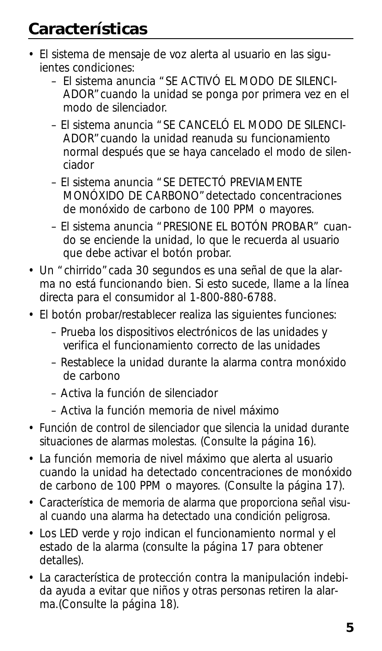- El sistema de mensaje de voz alerta al usuario en las siguientes condiciones:
	- El sistema anuncia "SE ACTIVÓ EL MODO DE SILENCI-ADOR"cuando la unidad se ponga por primera vez en el modo de silenciador.
	- El sistema anuncia "SE CANCELÓ EL MODO DE SILENCI-ADOR"cuando la unidad reanuda su funcionamiento normal después que se haya cancelado el modo de silenciador
	- El sistema anuncia "SE DETECTÓ PREVIAMENTE MONÓXIDO DE CARBONO"detectado concentraciones de monóxido de carbono de 100 PPM o mayores.
	- El sistema anuncia "PRESIONE EL BOTÓN PROBAR" cuando se enciende la unidad, lo que le recuerda al usuario que debe activar el botón probar.
- Un "chirrido"cada 30 segundos es una señal de que la alarma no está funcionando bien. Si esto sucede, llame a la línea directa para el consumidor al 1-800-880-6788.
- El botón probar/restablecer realiza las siguientes funciones:
	- Prueba los dispositivos electrónicos de las unidades y verifica el funcionamiento correcto de las unidades
	- Restablece la unidad durante la alarma contra monóxido de carbono
	- Activa la función de silenciador
	- Activa la función memoria de nivel máximo
- Función de control de silenciador que silencia la unidad durante situaciones de alarmas molestas. (Consulte la página 16).
- La función memoria de nivel máximo que alerta al usuario cuando la unidad ha detectado concentraciones de monóxido de carbono de 100 PPM o mayores. (Consulte la página 17).
- Característica de memoria de alarma que proporciona señal visual cuando una alarma ha detectado una condición peligrosa.
- Los LED verde y rojo indican el funcionamiento normal y el estado de la alarma (consulte la página 17 para obtener detalles).
- La característica de protección contra la manipulación indebida ayuda a evitar que niños y otras personas retiren la alarma.(Consulte la página 18).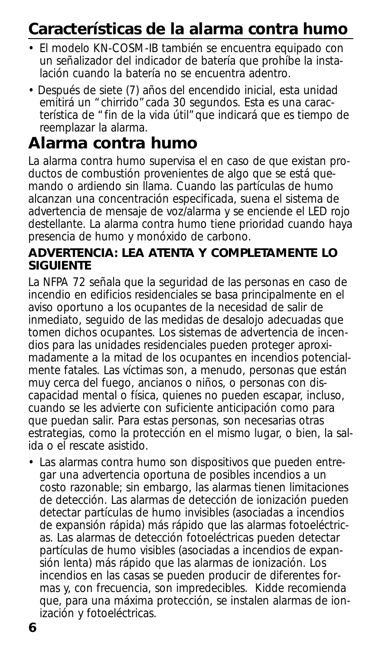# **Características de la alarma contra humo**

- El modelo KN-COSM-IB también se encuentra equipado con un señalizador del indicador de batería que prohíbe la instalación cuando la batería no se encuentra adentro.
- Después de siete (7) años del encendido inicial, esta unidad emitirá un "chirrido" cada 30 segundos. Esta es una característica de "fin de la vida útil"que indicará que es tiempo de reemplazar la alarma.

## **Alarma contra humo**

La alarma contra humo supervisa el en caso de que existan productos de combustión provenientes de algo que se está quemando o ardiendo sin llama. Cuando las partículas de humo alcanzan una concentración especificada, suena el sistema de advertencia de mensaje de voz/alarma y se enciende el LED rojo destellante. La alarma contra humo tiene prioridad cuando haya presencia de humo y monóxido de carbono.

### **ADVERTENCIA: LEA ATENTA Y COMPLETAMENTE LO SIGUIENTE**

La NFPA 72 señala que la seguridad de las personas en caso de incendio en edificios residenciales se basa principalmente en el aviso oportuno a los ocupantes de la necesidad de salir de inmediato, seguido de las medidas de desalojo adecuadas que tomen dichos ocupantes. Los sistemas de advertencia de incendios para las unidades residenciales pueden proteger aproximadamente a la mitad de los ocupantes en incendios potencialmente fatales. Las víctimas son, a menudo, personas que están muy cerca del fuego, ancianos o niños, o personas con discapacidad mental o física, quienes no pueden escapar, incluso, cuando se les advierte con suficiente anticipación como para que puedan salir. Para estas personas, son necesarias otras estrategias, como la protección en el mismo lugar, o bien, la salida o el rescate asistido.

• Las alarmas contra humo son dispositivos que pueden entregar una advertencia oportuna de posibles incendios a un costo razonable; sin embargo, las alarmas tienen limitaciones de detección. Las alarmas de detección de ionización pueden detectar partículas de humo invisibles (asociadas a incendios de expansión rápida) más rápido que las alarmas fotoeléctricas. Las alarmas de detección fotoeléctricas pueden detectar partículas de humo visibles (asociadas a incendios de expansión lenta) más rápido que las alarmas de ionización. Los incendios en las casas se pueden producir de diferentes formas y, con frecuencia, son impredecibles. Kidde recomienda que, para una máxima protección, se instalen alarmas de ionización y fotoeléctricas.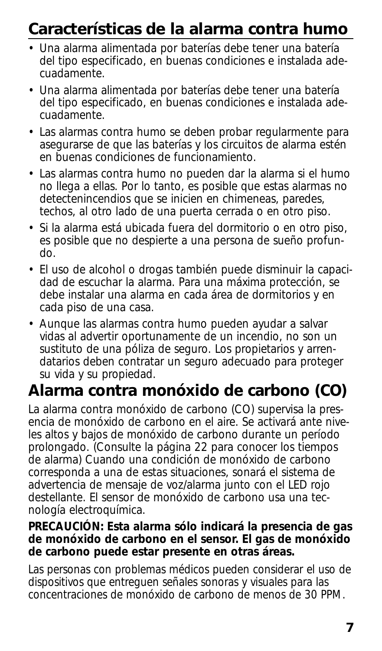# **Características de la alarma contra humo**

- Una alarma alimentada por baterías debe tener una batería del tipo especificado, en buenas condiciones e instalada adecuadamente.
- Una alarma alimentada por baterías debe tener una batería del tipo especificado, en buenas condiciones e instalada adecuadamente.
- Las alarmas contra humo se deben probar regularmente para asegurarse de que las baterías y los circuitos de alarma estén en buenas condiciones de funcionamiento.
- Las alarmas contra humo no pueden dar la alarma si el humo no llega a ellas. Por lo tanto, es posible que estas alarmas no detectenincendios que se inicien en chimeneas, paredes, techos, al otro lado de una puerta cerrada o en otro piso.
- Si la alarma está ubicada fuera del dormitorio o en otro piso, es posible que no despierte a una persona de sueño profundo.
- El uso de alcohol o drogas también puede disminuir la capacidad de escuchar la alarma. Para una máxima protección, se debe instalar una alarma en cada área de dormitorios y en cada piso de una casa.
- Aunque las alarmas contra humo pueden ayudar a salvar vidas al advertir oportunamente de un incendio, no son un sustituto de una póliza de seguro. Los propietarios y arrendatarios deben contratar un seguro adecuado para proteger su vida y su propiedad.

# **Alarma contra monóxido de carbono (CO)**

La alarma contra monóxido de carbono (CO) supervisa la presencia de monóxido de carbono en el aire. Se activará ante niveles altos y bajos de monóxido de carbono durante un período prolongado. (Consulte la página 22 para conocer los tiempos de alarma) Cuando una condición de monóxido de carbono corresponda a una de estas situaciones, sonará el sistema de advertencia de mensaje de voz/alarma junto con el LED rojo destellante. El sensor de monóxido de carbono usa una tecnología electroquímica.

### **PRECAUCIÓN: Esta alarma sólo indicará la presencia de gas de monóxido de carbono en el sensor. El gas de monóxido de carbono puede estar presente en otras áreas.**

Las personas con problemas médicos pueden considerar el uso de dispositivos que entreguen señales sonoras y visuales para las concentraciones de monóxido de carbono de menos de 30 PPM.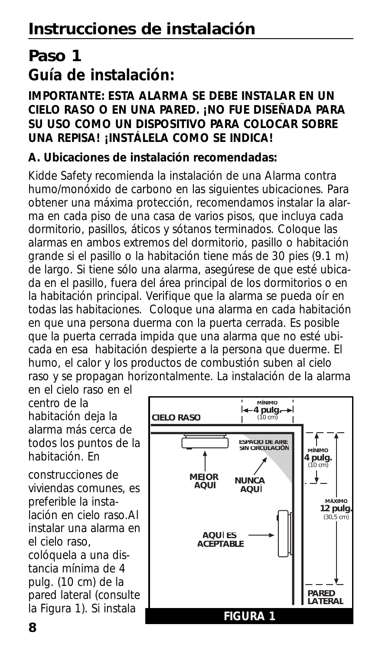## **Paso 1 Guía de instalación:**

### **IMPORTANTE: ESTA ALARMA SE DEBE INSTALAR EN UN CIELO RASO O EN UNA PARED. ¡NO FUE DISEÑADA PARA SU USO COMO UN DISPOSITIVO PARA COLOCAR SOBRE UNA REPISA! ¡INSTÁLELA COMO SE INDICA!**

### **A. Ubicaciones de instalación recomendadas:**

Kidde Safety recomienda la instalación de una Alarma contra humo/monóxido de carbono en las siguientes ubicaciones. Para obtener una máxima protección, recomendamos instalar la alarma en cada piso de una casa de varios pisos, que incluya cada dormitorio, pasillos, áticos y sótanos terminados. Coloque las alarmas en ambos extremos del dormitorio, pasillo o habitación grande si el pasillo o la habitación tiene más de 30 pies (9.1 m) de largo. Si tiene sólo una alarma, asegúrese de que esté ubicada en el pasillo, fuera del área principal de los dormitorios o en la habitación principal. Verifique que la alarma se pueda oír en todas las habitaciones. Coloque una alarma en cada habitación en que una persona duerma con la puerta cerrada. Es posible que la puerta cerrada impida que una alarma que no esté ubicada en esa habitación despierte a la persona que duerme. El humo, el calor y los productos de combustión suben al cielo raso y se propagan horizontalmente. La instalación de la alarma

en el cielo raso en el centro de la habitación deja la alarma más cerca de todos los puntos de la habitación. En

construcciones de viviendas comunes, es preferible la instalación en cielo raso.Al instalar una alarma en el cielo raso, colóquela a una distancia mínima de 4 pulg. (10 cm) de la pared lateral (consulte la Figura 1). Si instala

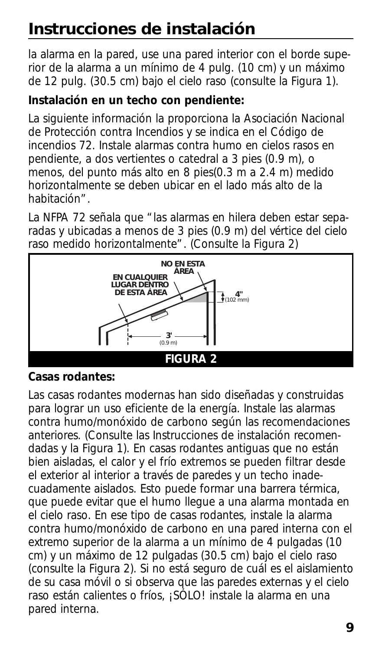la alarma en la pared, use una pared interior con el borde superior de la alarma a un mínimo de 4 pulg. (10 cm) y un máximo de 12 pulg. (30.5 cm) bajo el cielo raso (consulte la Figura 1).

### **Instalación en un techo con pendiente:**

La siguiente información la proporciona la Asociación Nacional de Protección contra Incendios y se indica en el Código de incendios 72. Instale alarmas contra humo en cielos rasos en pendiente, a dos vertientes o catedral a 3 pies (0.9 m), o <sub>.</sub><br>menos, del punto más alto en 8 pies(0.3 m a 2.4 m) medido horizontalmente se deben ubicar en el lado más alto de la<br>habitación" . habitación". 102 mm) **4"**

La NFPA 72 señala que "las alarmas en hilera deben estar separadas y ubicadas a menos de 3 pies (0.9 m) del vértice del cielo 0.9 m) **3'** (0.9 m) **3'** raso medido horizontalmente". (Consulte la Figura 2)



### **Casas rodantes:**

Las casas rodantes modernas han sido diseñadas y construidas para lograr un uso eficiente de la energía. Instale las alarmas contra humo/monóxido de carbono según las recomendaciones anteriores. (Consulte las Instrucciones de instalación recomendadas y la Figura 1). En casas rodantes antiguas que no están bien aisladas, el calor y el frío extremos se pueden filtrar desde el exterior al interior a través de paredes y un techo inadecuadamente aislados. Esto puede formar una barrera térmica, que puede evitar que el humo llegue a una alarma montada en el cielo raso. En ese tipo de casas rodantes, instale la alarma contra humo/monóxido de carbono en una pared interna con el extremo superior de la alarma a un mínimo de 4 pulgadas (10 cm) y un máximo de 12 pulgadas (30.5 cm) bajo el cielo raso (consulte la Figura 2). Si no está seguro de cuál es el aislamiento de su casa móvil o si observa que las paredes externas y el cielo raso están calientes o fríos, ¡SÓLO! instale la alarma en una pared interna.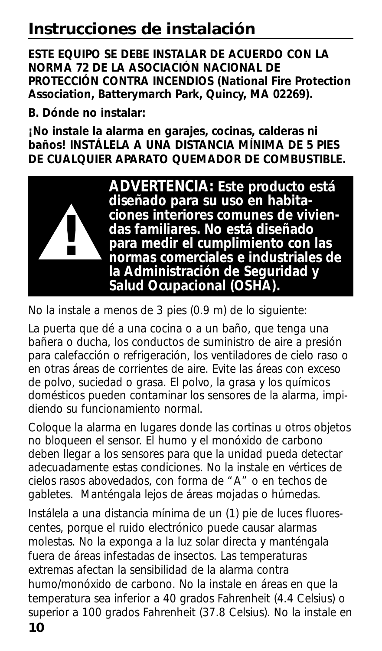**ESTE EQUIPO SE DEBE INSTALAR DE ACUERDO CON LA NORMA 72 DE LA ASOCIACIÓN NACIONAL DE PROTECCIÓN CONTRA INCENDIOS (National Fire Protection Association, Batterymarch Park, Quincy, MA 02269).**

**B. Dónde no instalar:**

**¡No instale la alarma en garajes, cocinas, calderas ni baños! INSTÁLELA A UNA DISTANCIA MÍNIMA DE 5 PIES DE CUALQUIER APARATO QUEMADOR DE COMBUSTIBLE.**



No la instale a menos de 3 pies (0.9 m) de lo siguiente:

La puerta que dé a una cocina o a un baño, que tenga una bañera o ducha, los conductos de suministro de aire a presión para calefacción o refrigeración, los ventiladores de cielo raso o en otras áreas de corrientes de aire. Evite las áreas con exceso de polvo, suciedad o grasa. El polvo, la grasa y los químicos domésticos pueden contaminar los sensores de la alarma, impidiendo su funcionamiento normal.

Coloque la alarma en lugares donde las cortinas u otros objetos no bloqueen el sensor. El humo y el monóxido de carbono deben llegar a los sensores para que la unidad pueda detectar adecuadamente estas condiciones. No la instale en vértices de cielos rasos abovedados, con forma de "A" o en techos de gabletes. Manténgala lejos de áreas mojadas o húmedas.

Instálela a una distancia mínima de un (1) pie de luces fluorescentes, porque el ruido electrónico puede causar alarmas molestas. No la exponga a la luz solar directa y manténgala fuera de áreas infestadas de insectos. Las temperaturas extremas afectan la sensibilidad de la alarma contra humo/monóxido de carbono. No la instale en áreas en que la temperatura sea inferior a 40 grados Fahrenheit (4.4 Celsius) o superior a 100 grados Fahrenheit (37.8 Celsius). No la instale en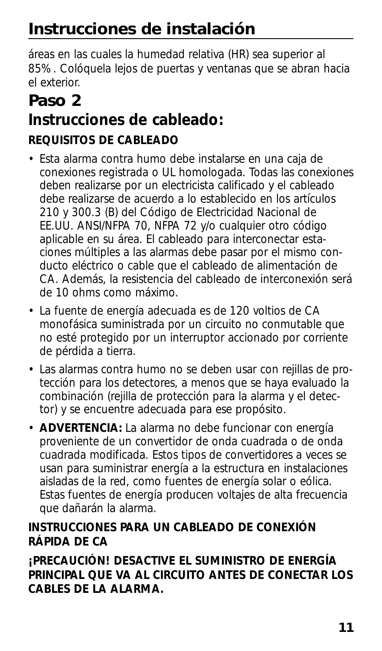áreas en las cuales la humedad relativa (HR) sea superior al 85%. Colóquela lejos de puertas y ventanas que se abran hacia el exterior.

## **Paso 2 Instrucciones de cableado: REQUISITOS DE CABLEADO**

- Esta alarma contra humo debe instalarse en una caja de conexiones registrada o UL homologada. Todas las conexiones deben realizarse por un electricista calificado y el cableado debe realizarse de acuerdo a lo establecido en los artículos 210 y 300.3 (B) del Código de Electricidad Nacional de EE.UU. ANSI/NFPA 70, NFPA 72 y/o cualquier otro código aplicable en su área. El cableado para interconectar estaciones múltiples a las alarmas debe pasar por el mismo conducto eléctrico o cable que el cableado de alimentación de CA. Además, la resistencia del cableado de interconexión será de 10 ohms como máximo.
- La fuente de energía adecuada es de 120 voltios de CA monofásica suministrada por un circuito no conmutable que no esté protegido por un interruptor accionado por corriente de pérdida a tierra.
- Las alarmas contra humo no se deben usar con rejillas de protección para los detectores, a menos que se haya evaluado la combinación (rejilla de protección para la alarma y el detector) y se encuentre adecuada para ese propósito.
- **ADVERTENCIA:** La alarma no debe funcionar con energía proveniente de un convertidor de onda cuadrada o de onda cuadrada modificada. Estos tipos de convertidores a veces se usan para suministrar energía a la estructura en instalaciones aisladas de la red, como fuentes de energía solar o eólica. Estas fuentes de energía producen voltajes de alta frecuencia que dañarán la alarma.

## **INSTRUCCIONES PARA UN CABLEADO DE CONEXIÓN RÁPIDA DE CA**

**¡PRECAUCIÓN! DESACTIVE EL SUMINISTRO DE ENERGÍA PRINCIPAL QUE VA AL CIRCUITO ANTES DE CONECTAR LOS CABLES DE LA ALARMA.**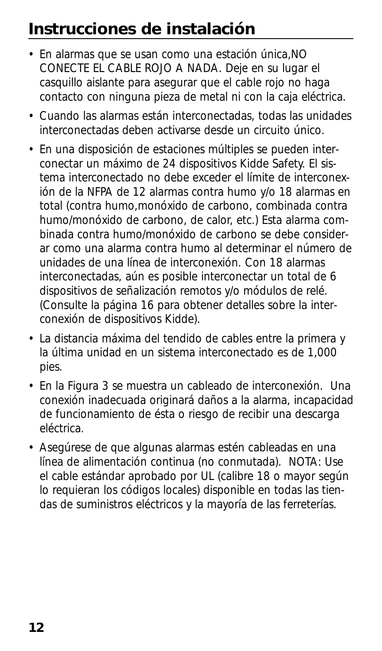- En alarmas que se usan como una estación única,NO CONECTE EL CABLE ROJO A NADA. Deje en su lugar el casquillo aislante para asegurar que el cable rojo no haga contacto con ninguna pieza de metal ni con la caja eléctrica.
- Cuando las alarmas están interconectadas, todas las unidades interconectadas deben activarse desde un circuito único.
- En una disposición de estaciones múltiples se pueden interconectar un máximo de 24 dispositivos Kidde Safety. El sistema interconectado no debe exceder el límite de interconexión de la NFPA de 12 alarmas contra humo y/o 18 alarmas en total (contra humo,monóxido de carbono, combinada contra humo/monóxido de carbono, de calor, etc.) Esta alarma combinada contra humo/monóxido de carbono se debe considerar como una alarma contra humo al determinar el número de unidades de una línea de interconexión. Con 18 alarmas interconectadas, aún es posible interconectar un total de 6 dispositivos de señalización remotos y/o módulos de relé. (Consulte la página 16 para obtener detalles sobre la interconexión de dispositivos Kidde).
- La distancia máxima del tendido de cables entre la primera y la última unidad en un sistema interconectado es de 1,000 pies.
- En la Figura 3 se muestra un cableado de interconexión. Una conexión inadecuada originará daños a la alarma, incapacidad de funcionamiento de ésta o riesgo de recibir una descarga eléctrica.
- Asegúrese de que algunas alarmas estén cableadas en una línea de alimentación continua (no conmutada). NOTA: Use el cable estándar aprobado por UL (calibre 18 o mayor según lo requieran los códigos locales) disponible en todas las tiendas de suministros eléctricos y la mayoría de las ferreterías.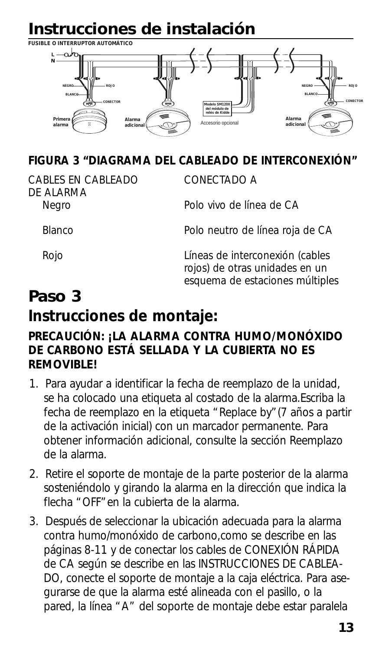

### **FIGURA 3 "DIAGRAMA DEL CABLEADO DE INTERCONEXIÓN"**

CABLES EN CABLEADO CONECTADO A DE ALARMA<br>Negro

Polo vivo de línea de CA

Blanco Polo neutro de línea roja de CA

Rojo Líneas de interconexión (cables rojos) de otras unidades en un esquema de estaciones múltiples

## **Paso 3 Instrucciones de montaje:**

### **PRECAUCIÓN: ¡LA ALARMA CONTRA HUMO/MONÓXIDO DE CARBONO ESTÁ SELLADA Y LA CUBIERTA NO ES REMOVIBLE!**

- 1. Para ayudar a identificar la fecha de reemplazo de la unidad, se ha colocado una etiqueta al costado de la alarma.Escriba la fecha de reemplazo en la etiqueta "Replace by"(7 años a partir de la activación inicial) con un marcador permanente. Para obtener información adicional, consulte la sección Reemplazo de la alarma.
- 2. Retire el soporte de montaje de la parte posterior de la alarma sosteniéndolo y girando la alarma en la dirección que indica la flecha "OFF"en la cubierta de la alarma.
- 3. Después de seleccionar la ubicación adecuada para la alarma contra humo/monóxido de carbono,como se describe en las páginas 8-11 y de conectar los cables de CONEXIÓN RÁPIDA de CA según se describe en las INSTRUCCIONES DE CABLEA-DO, conecte el soporte de montaje a la caja eléctrica. Para asegurarse de que la alarma esté alineada con el pasillo, o la pared, la línea "A" del soporte de montaje debe estar paralela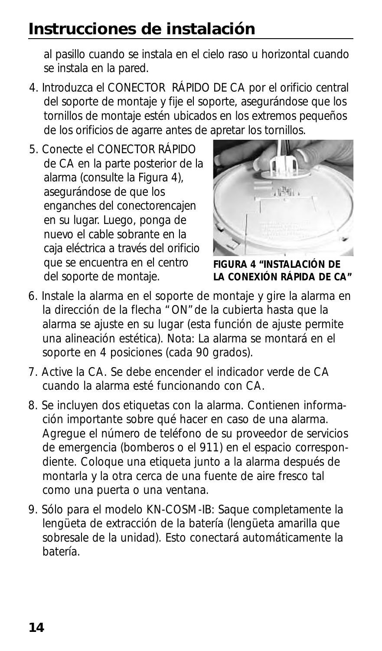al pasillo cuando se instala en el cielo raso u horizontal cuando se instala en la pared.

- 4. Introduzca el CONECTOR RÁPIDO DE CA por el orificio central del soporte de montaje y fije el soporte, asegurándose que los tornillos de montaje estén ubicados en los extremos pequeños de los orificios de agarre antes de apretar los tornillos.
- 5. Conecte el CONECTOR RÁPIDO de CA en la parte posterior de la alarma (consulte la Figura 4), asegurándose de que los enganches del conectorencajen en su lugar. Luego, ponga de nuevo el cable sobrante en la caja eléctrica a través del orificio que se encuentra en el centro del soporte de montaje.



**FIGURA 4 "INSTALACIÓN DE LA CONEXIÓN RÁPIDA DE CA"**

- 6. Instale la alarma en el soporte de montaje y gire la alarma en la dirección de la flecha "ON"de la cubierta hasta que la alarma se ajuste en su lugar (esta función de ajuste permite una alineación estética). Nota: La alarma se montará en el soporte en 4 posiciones (cada 90 grados).
- 7. Active la CA. Se debe encender el indicador verde de CA cuando la alarma esté funcionando con CA.
- 8. Se incluyen dos etiquetas con la alarma. Contienen información importante sobre qué hacer en caso de una alarma. Agregue el número de teléfono de su proveedor de servicios de emergencia (bomberos o el 911) en el espacio correspondiente. Coloque una etiqueta junto a la alarma después de montarla y la otra cerca de una fuente de aire fresco tal como una puerta o una ventana.
- 9. Sólo para el modelo KN-COSM-IB: Saque completamente la lengüeta de extracción de la batería (lengüeta amarilla que sobresale de la unidad). Esto conectará automáticamente la batería.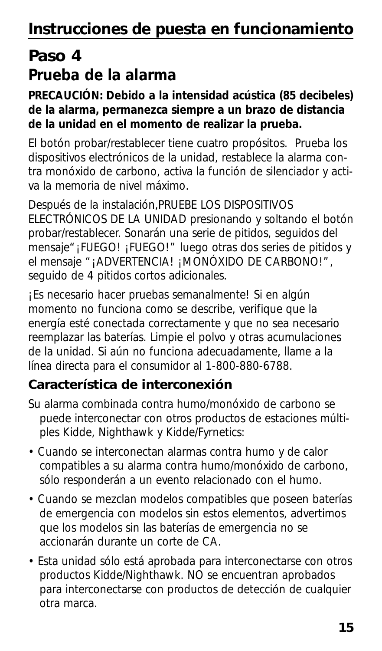# **Paso 4 Prueba de la alarma**

### **PRECAUCIÓN: Debido a la intensidad acústica (85 decibeles) de la alarma, permanezca siempre a un brazo de distancia de la unidad en el momento de realizar la prueba.**

El botón probar/restablecer tiene cuatro propósitos. Prueba los dispositivos electrónicos de la unidad, restablece la alarma contra monóxido de carbono, activa la función de silenciador y activa la memoria de nivel máximo.

Después de la instalación,PRUEBE LOS DISPOSITIVOS ELECTRÓNICOS DE LA UNIDAD presionando y soltando el botón probar/restablecer. Sonarán una serie de pitidos, seguidos del mensaje"¡FUEGO! ¡FUEGO!" luego otras dos series de pitidos y el mensaje "¡ADVERTENCIA! ¡MONÓXIDO DE CARBONO!", seguido de 4 pitidos cortos adicionales.

¡Es necesario hacer pruebas semanalmente! Si en algún momento no funciona como se describe, verifique que la energía esté conectada correctamente y que no sea necesario reemplazar las baterías. Limpie el polvo y otras acumulaciones de la unidad. Si aún no funciona adecuadamente, llame a la línea directa para el consumidor al 1-800-880-6788.

## **Característica de interconexión**

- Su alarma combinada contra humo/monóxido de carbono se puede interconectar con otros productos de estaciones múltiples Kidde, Nighthawk y Kidde/Fyrnetics:
- Cuando se interconectan alarmas contra humo y de calor compatibles a su alarma contra humo/monóxido de carbono, sólo responderán a un evento relacionado con el humo.
- Cuando se mezclan modelos compatibles que poseen baterías de emergencia con modelos sin estos elementos, advertimos que los modelos sin las baterías de emergencia no se accionarán durante un corte de CA.
- Esta unidad sólo está aprobada para interconectarse con otros productos Kidde/Nighthawk. NO se encuentran aprobados para interconectarse con productos de detección de cualquier otra marca.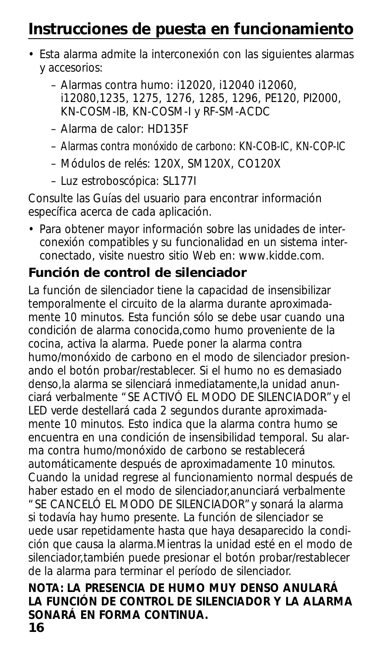# **Instrucciones de puesta en funcionamiento**

- Esta alarma admite la interconexión con las siguientes alarmas y accesorios:
	- Alarmas contra humo: i12020, i12040 i12060, i12080,1235, 1275, 1276, 1285, 1296, PE120, PI2000, KN-COSM-IB, KN-COSM-I y RF-SM-ACDC
	- Alarma de calor: HD135F
	- Alarmas contra monóxido de carbono: KN-COB-IC, KN-COP-IC
	- Módulos de relés: 120X, SM120X, CO120X
	- Luz estroboscópica: SL177I

Consulte las Guías del usuario para encontrar información específica acerca de cada aplicación.

• Para obtener mayor información sobre las unidades de interconexión compatibles y su funcionalidad en un sistema interconectado, visite nuestro sitio Web en: www.kidde.com.

## **Función de control de silenciador**

La función de silenciador tiene la capacidad de insensibilizar temporalmente el circuito de la alarma durante aproximadamente 10 minutos. Esta función sólo se debe usar cuando una condición de alarma conocida,como humo proveniente de la cocina, activa la alarma. Puede poner la alarma contra humo/monóxido de carbono en el modo de silenciador presionando el botón probar/restablecer. Si el humo no es demasiado denso,la alarma se silenciará inmediatamente,la unidad anunciará verbalmente "SE ACTIVÓ EL MODO DE SILENCIADOR"y el LED verde destellará cada 2 segundos durante aproximadamente 10 minutos. Esto indica que la alarma contra humo se encuentra en una condición de insensibilidad temporal. Su alarma contra humo/monóxido de carbono se restablecerá automáticamente después de aproximadamente 10 minutos. Cuando la unidad regrese al funcionamiento normal después de haber estado en el modo de silenciador,anunciará verbalmente "SE CANCELÓ EL MODO DE SILENCIADOR"y sonará la alarma si todavía hay humo presente. La función de silenciador se uede usar repetidamente hasta que haya desaparecido la condición que causa la alarma.Mientras la unidad esté en el modo de silenciador,también puede presionar el botón probar/restablecer de la alarma para terminar el período de silenciador.

### **NOTA: LA PRESENCIA DE HUMO MUY DENSO ANULARÁ LA FUNCIÓN DE CONTROL DE SILENCIADOR Y LA ALARMA SONARÁ EN FORMA CONTINUA.**

**16**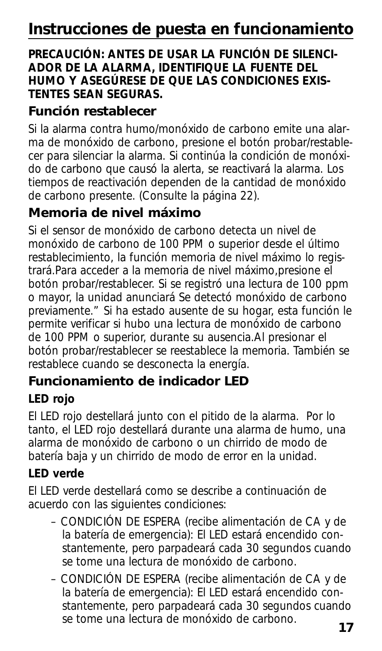### **PRECAUCIÓN: ANTES DE USAR LA FUNCIÓN DE SILENCI-ADOR DE LA ALARMA, IDENTIFIQUE LA FUENTE DEL HUMO Y ASEGÚRESE DE QUE LAS CONDICIONES EXIS-TENTES SEAN SEGURAS.**

## **Función restablecer**

Si la alarma contra humo/monóxido de carbono emite una alarma de monóxido de carbono, presione el botón probar/restablecer para silenciar la alarma. Si continúa la condición de monóxido de carbono que causó la alerta, se reactivará la alarma. Los tiempos de reactivación dependen de la cantidad de monóxido de carbono presente. (Consulte la página 22).

## **Memoria de nivel máximo**

Si el sensor de monóxido de carbono detecta un nivel de monóxido de carbono de 100 PPM o superior desde el último restablecimiento, la función memoria de nivel máximo lo registrará.Para acceder a la memoria de nivel máximo,presione el botón probar/restablecer. Si se registró una lectura de 100 ppm o mayor, la unidad anunciará Se detectó monóxido de carbono previamente." Si ha estado ausente de su hogar, esta función le permite verificar si hubo una lectura de monóxido de carbono de 100 PPM o superior, durante su ausencia.Al presionar el botón probar/restablecer se reestablece la memoria. También se restablece cuando se desconecta la energía.

## **Funcionamiento de indicador LED**

## **LED rojo**

El LED rojo destellará junto con el pitido de la alarma. Por lo tanto, el LED rojo destellará durante una alarma de humo, una alarma de monóxido de carbono o un chirrido de modo de batería baja y un chirrido de modo de error en la unidad.

## **LED verde**

El LED verde destellará como se describe a continuación de acuerdo con las siguientes condiciones:

- CONDICIÓN DE ESPERA (recibe alimentación de CA y de la batería de emergencia): El LED estará encendido constantemente, pero parpadeará cada 30 segundos cuando se tome una lectura de monóxido de carbono.
- CONDICIÓN DE ESPERA (recibe alimentación de CA y de la batería de emergencia): El LED estará encendido constantemente, pero parpadeará cada 30 segundos cuando se tome una lectura de monóxido de carbono.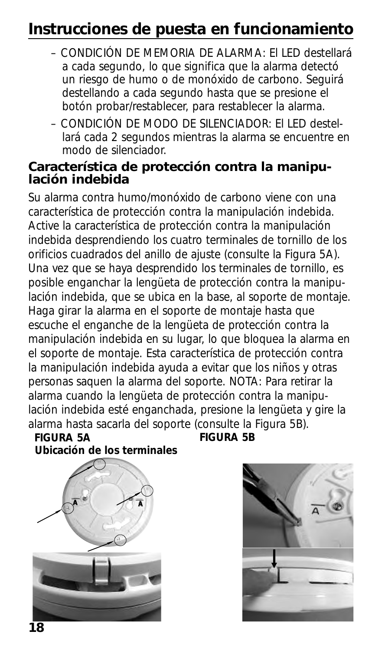# **Instrucciones de puesta en funcionamiento**

- CONDICIÓN DE MEMORIA DE ALARMA: El LED destellará a cada segundo, lo que significa que la alarma detectó un riesgo de humo o de monóxido de carbono. Seguirá destellando a cada segundo hasta que se presione el botón probar/restablecer, para restablecer la alarma.
- CONDICIÓN DE MODO DE SILENCIADOR: El LED destellará cada 2 segundos mientras la alarma se encuentre en modo de silenciador.

### **Característica de protección contra la manipulación indebida**

Su alarma contra humo/monóxido de carbono viene con una característica de protección contra la manipulación indebida. Active la característica de protección contra la manipulación indebida desprendiendo los cuatro terminales de tornillo de los orificios cuadrados del anillo de ajuste (consulte la Figura 5A). Una vez que se haya desprendido los terminales de tornillo, es posible enganchar la lengüeta de protección contra la manipulación indebida, que se ubica en la base, al soporte de montaje. Haga girar la alarma en el soporte de montaje hasta que escuche el enganche de la lengüeta de protección contra la manipulación indebida en su lugar, lo que bloquea la alarma en el soporte de montaje. Esta característica de protección contra la manipulación indebida ayuda a evitar que los niños y otras personas saquen la alarma del soporte. NOTA: Para retirar la alarma cuando la lengüeta de protección contra la manipulación indebida esté enganchada, presione la lengüeta y gire la alarma hasta sacarla del soporte (consulte la Figura 5B).<br>FIGURA 5A FIGURA 5B

#### **FIGURA 5A FIGURA 5B Ubicación de los terminales**



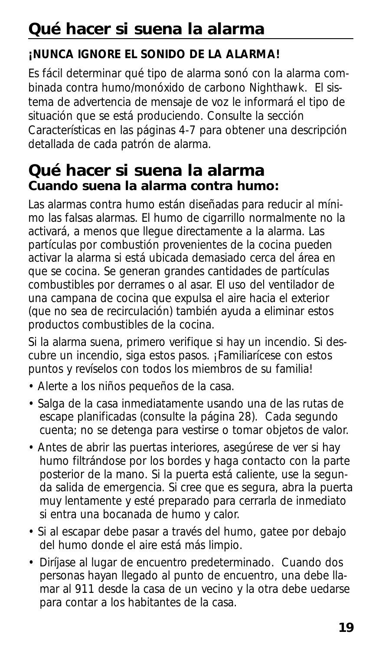# **Qué hacer si suena la alarma**

## **¡NUNCA IGNORE EL SONIDO DE LA ALARMA!**

Es fácil determinar qué tipo de alarma sonó con la alarma combinada contra humo/monóxido de carbono Nighthawk. El sistema de advertencia de mensaje de voz le informará el tipo de situación que se está produciendo. Consulte la sección Características en las páginas 4-7 para obtener una descripción detallada de cada patrón de alarma.

## **Qué hacer si suena la alarma Cuando suena la alarma contra humo:**

Las alarmas contra humo están diseñadas para reducir al mínimo las falsas alarmas. El humo de cigarrillo normalmente no la activará, a menos que llegue directamente a la alarma. Las partículas por combustión provenientes de la cocina pueden activar la alarma si está ubicada demasiado cerca del área en que se cocina. Se generan grandes cantidades de partículas combustibles por derrames o al asar. El uso del ventilador de una campana de cocina que expulsa el aire hacia el exterior (que no sea de recirculación) también ayuda a eliminar estos productos combustibles de la cocina.

Si la alarma suena, primero verifique si hay un incendio. Si descubre un incendio, siga estos pasos. ¡Familiarícese con estos puntos y revíselos con todos los miembros de su familia!

- Alerte a los niños pequeños de la casa.
- Salga de la casa inmediatamente usando una de las rutas de escape planificadas (consulte la página 28). Cada segundo cuenta; no se detenga para vestirse o tomar objetos de valor.
- Antes de abrir las puertas interiores, asegúrese de ver si hay humo filtrándose por los bordes y haga contacto con la parte posterior de la mano. Si la puerta está caliente, use la segunda salida de emergencia. Si cree que es segura, abra la puerta muy lentamente y esté preparado para cerrarla de inmediato si entra una bocanada de humo y calor.
- Si al escapar debe pasar a través del humo, gatee por debajo del humo donde el aire está más limpio.
- Diríjase al lugar de encuentro predeterminado. Cuando dos personas hayan llegado al punto de encuentro, una debe llamar al 911 desde la casa de un vecino y la otra debe uedarse para contar a los habitantes de la casa.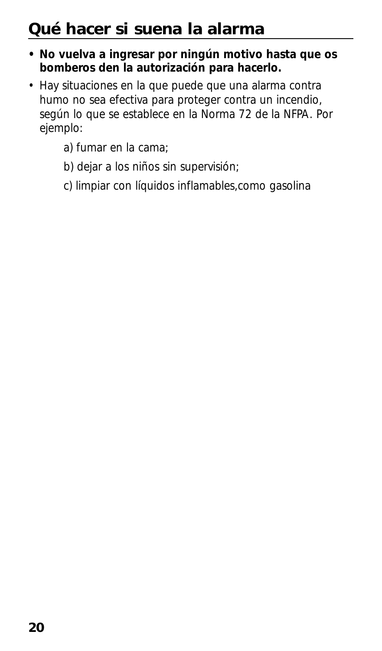# **Qué hacer si suena la alarma**

- **No vuelva a ingresar por ningún motivo hasta que os bomberos den la autorización para hacerlo.**
- Hay situaciones en la que puede que una alarma contra humo no sea efectiva para proteger contra un incendio, según lo que se establece en la Norma 72 de la NFPA. Por ejemplo:
	- a) fumar en la cama;
	- b) dejar a los niños sin supervisión;
	- c) limpiar con líquidos inflamables,como gasolina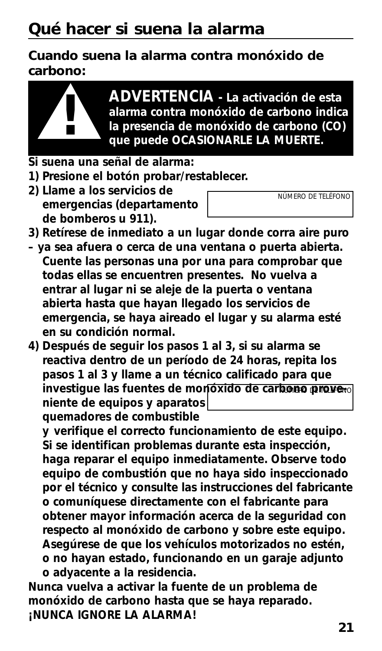**Cuando suena la alarma contra monóxido de carbono:**



**ADVERTENCIA - La activación de esta alarma contra monóxido de carbono indica la presencia de monóxido de carbono (CO) ! que puede OCASIONARLE LA MUERTE.**

- **Si suena una señal de alarma:**
- **1) Presione el botón probar/restablecer.**
- **2) Llame a los servicios de emergencias (departamento de bomberos u 911).**
- *NÚMERO DE TELÉFONO*
- **3) Retírese de inmediato a un lugar donde corra aire puro**
- **ya sea afuera o cerca de una ventana o puerta abierta. Cuente las personas una por una para comprobar que todas ellas se encuentren presentes. No vuelva a entrar al lugar ni se aleje de la puerta o ventana abierta hasta que hayan llegado los servicios de emergencia, se haya aireado el lugar y su alarma esté en su condición normal.**
- **4) Después de seguir los pasos 1 al 3, si su alarma se reactiva dentro de un período de 24 horas, repita los pasos 1 al 3 y llame a un técnico calificado para que** investigue las fuentes de monóxido de carbono prove<sub>"</sub> **niente de equipos y aparatos quemadores de combustible**

**y verifique el correcto funcionamiento de este equipo. Si se identifican problemas durante esta inspección, haga reparar el equipo inmediatamente. Observe todo equipo de combustión que no haya sido inspeccionado por el técnico y consulte las instrucciones del fabricante o comuníquese directamente con el fabricante para obtener mayor información acerca de la seguridad con respecto al monóxido de carbono y sobre este equipo. Asegúrese de que los vehículos motorizados no estén, o no hayan estado, funcionando en un garaje adjunto o adyacente a la residencia.** 

**Nunca vuelva a activar la fuente de un problema de monóxido de carbono hasta que se haya reparado. ¡NUNCA IGNORE LA ALARMA!**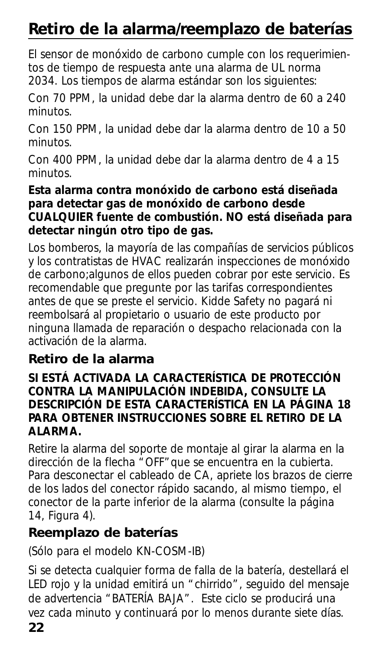# **Retiro de la alarma/reemplazo de baterías**

El sensor de monóxido de carbono cumple con los requerimientos de tiempo de respuesta ante una alarma de UL norma 2034. Los tiempos de alarma estándar son los siguientes:

Con 70 PPM, la unidad debe dar la alarma dentro de 60 a 240 minutos.

Con 150 PPM, la unidad debe dar la alarma dentro de 10 a 50 minutos.

Con 400 PPM, la unidad debe dar la alarma dentro de 4 a 15 minutos.

### **Esta alarma contra monóxido de carbono está diseñada para detectar gas de monóxido de carbono desde CUALQUIER fuente de combustión. NO está diseñada para detectar ningún otro tipo de gas.**

Los bomberos, la mayoría de las compañías de servicios públicos y los contratistas de HVAC realizarán inspecciones de monóxido de carbono;algunos de ellos pueden cobrar por este servicio. Es recomendable que pregunte por las tarifas correspondientes antes de que se preste el servicio. Kidde Safety no pagará ni reembolsará al propietario o usuario de este producto por ninguna llamada de reparación o despacho relacionada con la activación de la alarma.

## **Retiro de la alarma**

### **SI ESTÁ ACTIVADA LA CARACTERÍSTICA DE PROTECCIÓN CONTRA LA MANIPULACIÓN INDEBIDA, CONSULTE LA DESCRIPCIÓN DE ESTA CARACTERÍSTICA EN LA PÁGINA 18 PARA OBTENER INSTRUCCIONES SOBRE EL RETIRO DE LA ALARMA.**

Retire la alarma del soporte de montaje al girar la alarma en la dirección de la flecha "OFF" que se encuentra en la cubierta. Para desconectar el cableado de CA, apriete los brazos de cierre de los lados del conector rápido sacando, al mismo tiempo, el conector de la parte inferior de la alarma (consulte la página 14, Figura 4).

## **Reemplazo de baterías**

(Sólo para el modelo KN-COSM-IB)

Si se detecta cualquier forma de falla de la batería, destellará el LED rojo y la unidad emitirá un "chirrido", seguido del mensaje de advertencia "BATERÍA BAJA". Este ciclo se producirá una vez cada minuto y continuará por lo menos durante siete días.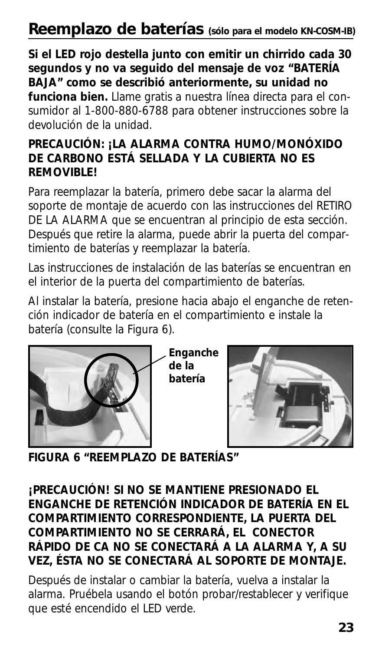## **Reemplazo de baterías (sólo para el modelo KN-COSM-IB)**

### **Si el LED rojo destella junto con emitir un chirrido cada 30 segundos y no va seguido del mensaje de voz "BATERÍA BAJA" como se describió anteriormente, su unidad no**

**funciona bien.** Llame gratis a nuestra línea directa para el consumidor al 1-800-880-6788 para obtener instrucciones sobre la devolución de la unidad.

### **PRECAUCIÓN: ¡LA ALARMA CONTRA HUMO/MONÓXIDO DE CARBONO ESTÁ SELLADA Y LA CUBIERTA NO ES REMOVIBLE!**

Para reemplazar la batería, primero debe sacar la alarma del soporte de montaje de acuerdo con las instrucciones del RETIRO DE LA ALARMA que se encuentran al principio de esta sección. Después que retire la alarma, puede abrir la puerta del compartimiento de baterías y reemplazar la batería.

Las instrucciones de instalación de las baterías se encuentran en el interior de la puerta del compartimiento de baterías.

Al instalar la batería, presione hacia abajo el enganche de retención indicador de batería en el compartimiento e instale la batería (consulte la Figura 6).



**Enganche de la batería**



**FIGURA 6 "REEMPLAZO DE BATERÍAS"**

### **¡PRECAUCIÓN! SI NO SE MANTIENE PRESIONADO EL ENGANCHE DE RETENCIÓN INDICADOR DE BATERÍA EN EL COMPARTIMIENTO CORRESPONDIENTE, LA PUERTA DEL COMPARTIMIENTO NO SE CERRARÁ, EL CONECTOR RÁPIDO DE CA NO SE CONECTARÁ A LA ALARMA Y, A SU VEZ, ÉSTA NO SE CONECTARÁ AL SOPORTE DE MONTAJE.**

Después de instalar o cambiar la batería, vuelva a instalar la alarma. Pruébela usando el botón probar/restablecer y verifique que esté encendido el LED verde.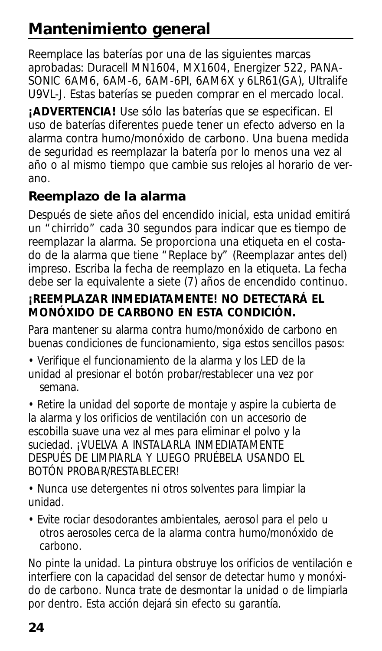# **Mantenimiento general**

Reemplace las baterías por una de las siguientes marcas aprobadas: Duracell MN1604, MX1604, Energizer 522, PANA-SONIC 6AM6, 6AM-6, 6AM-6PI, 6AM6X y 6LR61(GA), Ultralife U9VL-J. Estas baterías se pueden comprar en el mercado local.

**¡ADVERTENCIA!** Use sólo las baterías que se especifican. El uso de baterías diferentes puede tener un efecto adverso en la alarma contra humo/monóxido de carbono. Una buena medida de seguridad es reemplazar la batería por lo menos una vez al año o al mismo tiempo que cambie sus relojes al horario de verano.

## **Reemplazo de la alarma**

Después de siete años del encendido inicial, esta unidad emitirá un "chirrido" cada 30 segundos para indicar que es tiempo de reemplazar la alarma. Se proporciona una etiqueta en el costado de la alarma que tiene "Replace by" (Reemplazar antes del) impreso. Escriba la fecha de reemplazo en la etiqueta. La fecha debe ser la equivalente a siete (7) años de encendido continuo.

### **¡REEMPLAZAR INMEDIATAMENTE! NO DETECTARÁ EL MONÓXIDO DE CARBONO EN ESTA CONDICIÓN.**

Para mantener su alarma contra humo/monóxido de carbono en buenas condiciones de funcionamiento, siga estos sencillos pasos:

• Verifique el funcionamiento de la alarma y los LED de la unidad al presionar el botón probar/restablecer una vez por semana.

• Retire la unidad del soporte de montaje y aspire la cubierta de la alarma y los orificios de ventilación con un accesorio de escobilla suave una vez al mes para eliminar el polvo y la suciedad. ¡VUELVA A INSTALARLA INMEDIATAMENTE DESPUÉS DE LIMPIARLA Y LUEGO PRUÉBELA USANDO EL BOTÓN PROBAR/RESTABLECER!

• Nunca use detergentes ni otros solventes para limpiar la unidad.

• Evite rociar desodorantes ambientales, aerosol para el pelo u otros aerosoles cerca de la alarma contra humo/monóxido de carbono.

No pinte la unidad. La pintura obstruye los orificios de ventilación e interfiere con la capacidad del sensor de detectar humo y monóxido de carbono. Nunca trate de desmontar la unidad o de limpiarla por dentro. Esta acción dejará sin efecto su garantía.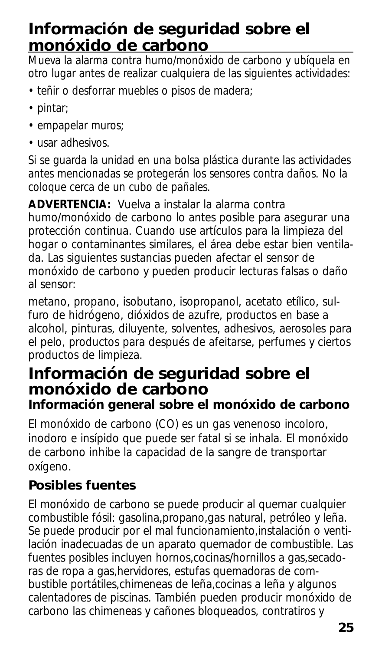## **Información de seguridad sobre el monóxido de carbono**

Mueva la alarma contra humo/monóxido de carbono y ubíquela en otro lugar antes de realizar cualquiera de las siguientes actividades:

- teñir o desforrar muebles o pisos de madera;
- pintar;
- empapelar muros;
- usar adhesivos.

Si se guarda la unidad en una bolsa plástica durante las actividades antes mencionadas se protegerán los sensores contra daños. No la coloque cerca de un cubo de pañales.

**ADVERTENCIA:** Vuelva a instalar la alarma contra humo/monóxido de carbono lo antes posible para asegurar una protección continua. Cuando use artículos para la limpieza del hogar o contaminantes similares, el área debe estar bien ventilada. Las siguientes sustancias pueden afectar el sensor de monóxido de carbono y pueden producir lecturas falsas o daño al sensor:

metano, propano, isobutano, isopropanol, acetato etílico, sulfuro de hidrógeno, dióxidos de azufre, productos en base a alcohol, pinturas, diluyente, solventes, adhesivos, aerosoles para el pelo, productos para después de afeitarse, perfumes y ciertos productos de limpieza.

## **Información de seguridad sobre el monóxido de carbono Información general sobre el monóxido de carbono**

El monóxido de carbono (CO) es un gas venenoso incoloro, inodoro e insípido que puede ser fatal si se inhala. El monóxido de carbono inhibe la capacidad de la sangre de transportar oxígeno.

## **Posibles fuentes**

El monóxido de carbono se puede producir al quemar cualquier combustible fósil: gasolina,propano,gas natural, petróleo y leña. Se puede producir por el mal funcionamiento, instalación o ventilación inadecuadas de un aparato quemador de combustible. Las fuentes posibles incluyen hornos,cocinas/hornillos a gas,secadoras de ropa a gas,hervidores, estufas quemadoras de combustible portátiles,chimeneas de leña,cocinas a leña y algunos calentadores de piscinas. También pueden producir monóxido de carbono las chimeneas y cañones bloqueados, contratiros y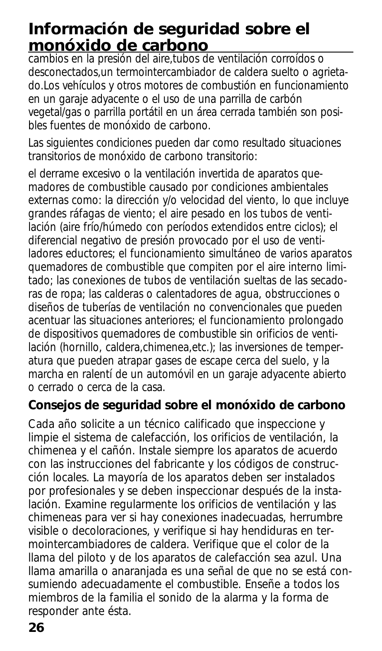## **Información de seguridad sobre el monóxido de carbono**

cambios en la presión del aire,tubos de ventilación corroídos o desconectados,un termointercambiador de caldera suelto o agrietado.Los vehículos y otros motores de combustión en funcionamiento en un garaje adyacente o el uso de una parrilla de carbón vegetal/gas o parrilla portátil en un área cerrada también son posibles fuentes de monóxido de carbono.

Las siguientes condiciones pueden dar como resultado situaciones transitorios de monóxido de carbono transitorio:

el derrame excesivo o la ventilación invertida de aparatos quemadores de combustible causado por condiciones ambientales externas como: la dirección y/o velocidad del viento, lo que incluye grandes ráfagas de viento; el aire pesado en los tubos de ventilación (aire frío/húmedo con períodos extendidos entre ciclos); el diferencial negativo de presión provocado por el uso de ventiladores eductores; el funcionamiento simultáneo de varios aparatos quemadores de combustible que compiten por el aire interno limitado; las conexiones de tubos de ventilación sueltas de las secadoras de ropa; las calderas o calentadores de agua, obstrucciones o diseños de tuberías de ventilación no convencionales que pueden acentuar las situaciones anteriores; el funcionamiento prolongado de dispositivos quemadores de combustible sin orificios de ventilación (hornillo, caldera,chimenea,etc.); las inversiones de temperatura que pueden atrapar gases de escape cerca del suelo, y la marcha en ralentí de un automóvil en un garaje adyacente abierto o cerrado o cerca de la casa.

## **Consejos de seguridad sobre el monóxido de carbono**

Cada año solicite a un técnico calificado que inspeccione y limpie el sistema de calefacción, los orificios de ventilación, la chimenea y el cañón. Instale siempre los aparatos de acuerdo con las instrucciones del fabricante y los códigos de construcción locales. La mayoría de los aparatos deben ser instalados por profesionales y se deben inspeccionar después de la instalación. Examine regularmente los orificios de ventilación y las chimeneas para ver si hay conexiones inadecuadas, herrumbre visible o decoloraciones, y verifique si hay hendiduras en termointercambiadores de caldera. Verifique que el color de la llama del piloto y de los aparatos de calefacción sea azul. Una llama amarilla o anaranjada es una señal de que no se está consumiendo adecuadamente el combustible. Enseñe a todos los miembros de la familia el sonido de la alarma y la forma de responder ante ésta.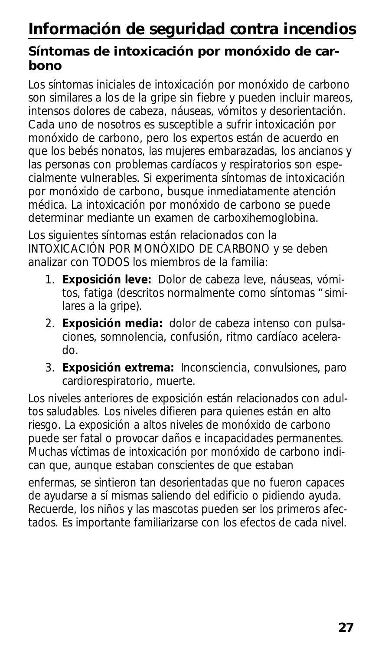# **Información de seguridad contra incendios**

## **Síntomas de intoxicación por monóxido de carbono**

Los síntomas iniciales de intoxicación por monóxido de carbono son similares a los de la gripe sin fiebre y pueden incluir mareos, intensos dolores de cabeza, náuseas, vómitos y desorientación. Cada uno de nosotros es susceptible a sufrir intoxicación por monóxido de carbono, pero los expertos están de acuerdo en que los bebés nonatos, las mujeres embarazadas, los ancianos y las personas con problemas cardíacos y respiratorios son especialmente vulnerables. Si experimenta síntomas de intoxicación por monóxido de carbono, busque inmediatamente atención médica. La intoxicación por monóxido de carbono se puede determinar mediante un examen de carboxihemoglobina.

Los siguientes síntomas están relacionados con la INTOXICACIÓN POR MONÓXIDO DE CARBONO y se deben analizar con TODOS los miembros de la familia:

- 1. **Exposición leve:** Dolor de cabeza leve, náuseas, vómitos, fatiga (descritos normalmente como síntomas "similares a la gripe).
- 2. **Exposición media:** dolor de cabeza intenso con pulsaciones, somnolencia, confusión, ritmo cardíaco acelerado.
- 3. **Exposición extrema:** Inconsciencia, convulsiones, paro cardiorespiratorio, muerte.

Los niveles anteriores de exposición están relacionados con adultos saludables. Los niveles difieren para quienes están en alto riesgo. La exposición a altos niveles de monóxido de carbono puede ser fatal o provocar daños e incapacidades permanentes. Muchas víctimas de intoxicación por monóxido de carbono indican que, aunque estaban conscientes de que estaban

enfermas, se sintieron tan desorientadas que no fueron capaces de ayudarse a sí mismas saliendo del edificio o pidiendo ayuda. Recuerde, los niños y las mascotas pueden ser los primeros afectados. Es importante familiarizarse con los efectos de cada nivel.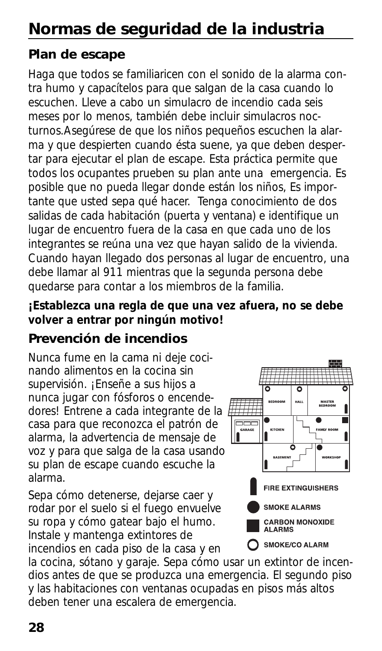# **Normas de seguridad de la industria**

## **Plan de escape**

Haga que todos se familiaricen con el sonido de la alarma contra humo y capacítelos para que salgan de la casa cuando lo escuchen. Lleve a cabo un simulacro de incendio cada seis meses por lo menos, también debe incluir simulacros nocturnos.Asegúrese de que los niños pequeños escuchen la alarma y que despierten cuando ésta suene, ya que deben despertar para ejecutar el plan de escape. Esta práctica permite que todos los ocupantes prueben su plan ante una emergencia. Es posible que no pueda llegar donde están los niños, Es importante que usted sepa qué hacer. Tenga conocimiento de dos salidas de cada habitación (puerta y ventana) e identifique un lugar de encuentro fuera de la casa en que cada uno de los integrantes se reúna una vez que hayan salido de la vivienda. Cuando hayan llegado dos personas al lugar de encuentro, una debe llamar al 911 mientras que la segunda persona debe quedarse para contar a los miembros de la familia.

### **¡Establezca una regla de que una vez afuera, no se debe volver a entrar por ningún motivo!**

## **Prevención de incendios**

Nunca fume en la cama ni deje cocinando alimentos en la cocina sin supervisión. ¡Enseñe a sus hijos a nunca jugar con fósforos o encendedores! Entrene a cada integrante de la casa para que reconozca el patrón de alarma, la advertencia de mensaje de voz y para que salga de la casa usando su plan de escape cuando escuche la alarma.

Sepa cómo detenerse, dejarse caer y rodar por el suelo si el fuego envuelve su ropa y cómo gatear bajo el humo. Instale y mantenga extintores de incendios en cada piso de la casa y en



la cocina, sótano y garaje. Sepa cómo usar un extintor de incendios antes de que se produzca una emergencia. El segundo piso y las habitaciones con ventanas ocupadas en pisos más altos deben tener una escalera de emergencia.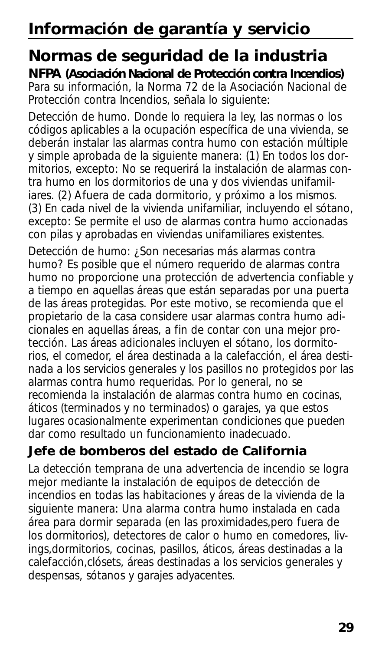# **Información de garantía y servicio**

## **Normas de seguridad de la industria**

**NFPA (Asociación Nacional de Protección contra Incendios)** Para su información, la Norma 72 de la Asociación Nacional de Protección contra Incendios, señala lo siguiente:

Detección de humo. Donde lo requiera la ley, las normas o los códigos aplicables a la ocupación específica de una vivienda, se deberán instalar las alarmas contra humo con estación múltiple y simple aprobada de la siguiente manera: (1) En todos los dormitorios, excepto: No se requerirá la instalación de alarmas contra humo en los dormitorios de una y dos viviendas unifamiliares. (2) Afuera de cada dormitorio, y próximo a los mismos. (3) En cada nivel de la vivienda unifamiliar, incluyendo el sótano, excepto: Se permite el uso de alarmas contra humo accionadas con pilas y aprobadas en viviendas unifamiliares existentes.

Detección de humo: ¿Son necesarias más alarmas contra humo? Es posible que el número requerido de alarmas contra humo no proporcione una protección de advertencia confiable y a tiempo en aquellas áreas que están separadas por una puerta de las áreas protegidas. Por este motivo, se recomienda que el propietario de la casa considere usar alarmas contra humo adicionales en aquellas áreas, a fin de contar con una mejor protección. Las áreas adicionales incluyen el sótano, los dormitorios, el comedor, el área destinada a la calefacción, el área destinada a los servicios generales y los pasillos no protegidos por las alarmas contra humo requeridas. Por lo general, no se recomienda la instalación de alarmas contra humo en cocinas, áticos (terminados y no terminados) o garajes, ya que estos lugares ocasionalmente experimentan condiciones que pueden dar como resultado un funcionamiento inadecuado.

## **Jefe de bomberos del estado de California**

La detección temprana de una advertencia de incendio se logra mejor mediante la instalación de equipos de detección de incendios en todas las habitaciones y áreas de la vivienda de la siguiente manera: Una alarma contra humo instalada en cada área para dormir separada (en las proximidades,pero fuera de los dormitorios), detectores de calor o humo en comedores, livings,dormitorios, cocinas, pasillos, áticos, áreas destinadas a la calefacción,clósets, áreas destinadas a los servicios generales y despensas, sótanos y garajes adyacentes.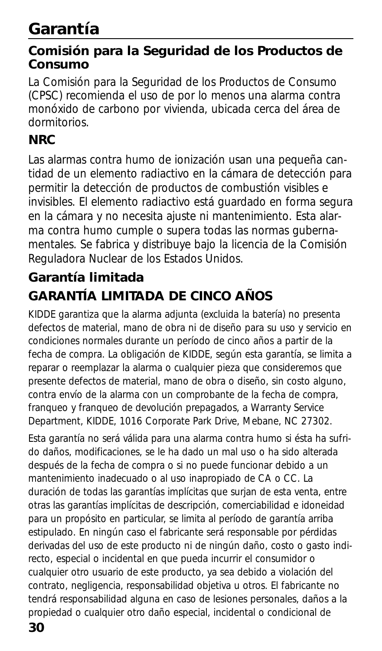# **Garantía**

### **Comisión para la Seguridad de los Productos de Consumo**

La Comisión para la Seguridad de los Productos de Consumo (CPSC) recomienda el uso de por lo menos una alarma contra monóxido de carbono por vivienda, ubicada cerca del área de dormitorios.

## **NRC**

Las alarmas contra humo de ionización usan una pequeña cantidad de un elemento radiactivo en la cámara de detección para permitir la detección de productos de combustión visibles e invisibles. El elemento radiactivo está guardado en forma segura en la cámara y no necesita ajuste ni mantenimiento. Esta alarma contra humo cumple o supera todas las normas gubernamentales. Se fabrica y distribuye bajo la licencia de la Comisión Reguladora Nuclear de los Estados Unidos.

## **Garantía limitada GARANTÍA LIMITADA DE CINCO AÑOS**

KIDDE garantiza que la alarma adjunta (excluida la batería) no presenta defectos de material, mano de obra ni de diseño para su uso y servicio en condiciones normales durante un período de cinco años a partir de la fecha de compra. La obligación de KIDDE, según esta garantía, se limita a reparar o reemplazar la alarma o cualquier pieza que consideremos que presente defectos de material, mano de obra o diseño, sin costo alguno, contra envío de la alarma con un comprobante de la fecha de compra, franqueo y franqueo de devolución prepagados, a Warranty Service Department, KIDDE, 1016 Corporate Park Drive, Mebane, NC 27302.

Esta garantía no será válida para una alarma contra humo si ésta ha sufrido daños, modificaciones, se le ha dado un mal uso o ha sido alterada después de la fecha de compra o si no puede funcionar debido a un mantenimiento inadecuado o al uso inapropiado de CA o CC. La duración de todas las garantías implícitas que surjan de esta venta, entre otras las garantías implícitas de descripción, comerciabilidad e idoneidad para un propósito en particular, se limita al período de garantía arriba estipulado. En ningún caso el fabricante será responsable por pérdidas derivadas del uso de este producto ni de ningún daño, costo o gasto indirecto, especial o incidental en que pueda incurrir el consumidor o cualquier otro usuario de este producto, ya sea debido a violación del contrato, negligencia, responsabilidad objetiva u otros. El fabricante no tendrá responsabilidad alguna en caso de lesiones personales, daños a la propiedad o cualquier otro daño especial, incidental o condicional de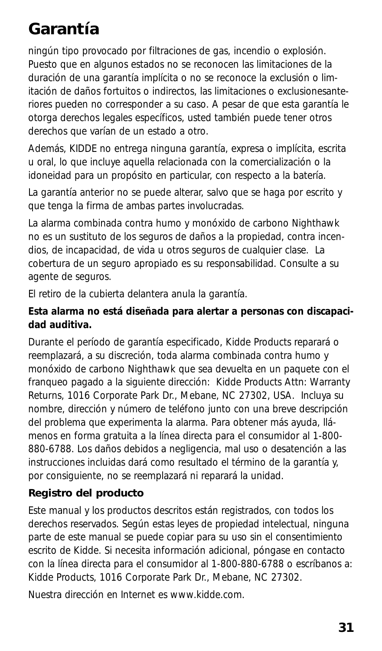# **Garantía**

ningún tipo provocado por filtraciones de gas, incendio o explosión. Puesto que en algunos estados no se reconocen las limitaciones de la duración de una garantía implícita o no se reconoce la exclusión o limitación de daños fortuitos o indirectos, las limitaciones o exclusionesanteriores pueden no corresponder a su caso. A pesar de que esta garantía le otorga derechos legales específicos, usted también puede tener otros derechos que varían de un estado a otro.

Además, KIDDE no entrega ninguna garantía, expresa o implícita, escrita u oral, lo que incluye aquella relacionada con la comercialización o la idoneidad para un propósito en particular, con respecto a la batería.

La garantía anterior no se puede alterar, salvo que se haga por escrito y que tenga la firma de ambas partes involucradas.

La alarma combinada contra humo y monóxido de carbono Nighthawk no es un sustituto de los seguros de daños a la propiedad, contra incendios, de incapacidad, de vida u otros seguros de cualquier clase. La cobertura de un seguro apropiado es su responsabilidad. Consulte a su agente de seguros.

El retiro de la cubierta delantera anula la garantía.

#### **Esta alarma no está diseñada para alertar a personas con discapacidad auditiva.**

Durante el período de garantía especificado, Kidde Products reparará o reemplazará, a su discreción, toda alarma combinada contra humo y monóxido de carbono Nighthawk que sea devuelta en un paquete con el franqueo pagado a la siguiente dirección: Kidde Products Attn: Warranty Returns, 1016 Corporate Park Dr., Mebane, NC 27302, USA. Incluya su nombre, dirección y número de teléfono junto con una breve descripción del problema que experimenta la alarma. Para obtener más ayuda, llámenos en forma gratuita a la línea directa para el consumidor al 1-800- 880-6788. Los daños debidos a negligencia, mal uso o desatención a las instrucciones incluidas dará como resultado el término de la garantía y, por consiguiente, no se reemplazará ni reparará la unidad.

### **Registro del producto**

Este manual y los productos descritos están registrados, con todos los derechos reservados. Según estas leyes de propiedad intelectual, ninguna parte de este manual se puede copiar para su uso sin el consentimiento escrito de Kidde. Si necesita información adicional, póngase en contacto con la línea directa para el consumidor al 1-800-880-6788 o escríbanos a: Kidde Products, 1016 Corporate Park Dr., Mebane, NC 27302.

Nuestra dirección en Internet es www.kidde.com.